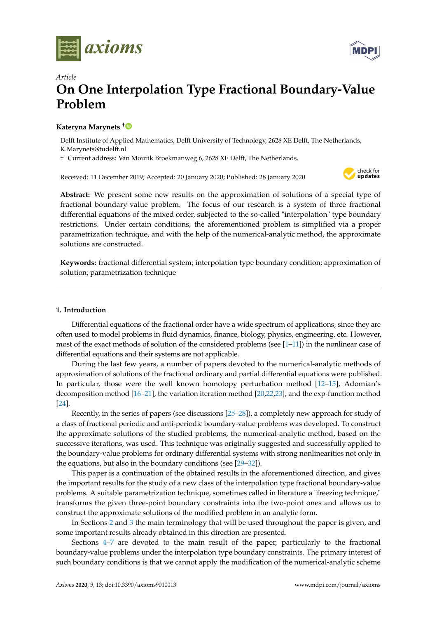



# *Article* **On One Interpolation Type Fractional Boundary-Value Problem**

## **Kateryna Marynets [†](https://orcid.org/0000-0002-0043-6336)**

Delft Institute of Applied Mathematics, Delft University of Technology, 2628 XE Delft, The Netherlands; K.Marynets@tudelft.nl

† Current address: Van Mourik Broekmanweg 6, 2628 XE Delft, The Netherlands.

Received: 11 December 2019; Accepted: 20 January 2020; Published: 28 January 2020



**Abstract:** We present some new results on the approximation of solutions of a special type of fractional boundary-value problem. The focus of our research is a system of three fractional differential equations of the mixed order, subjected to the so-called "interpolation" type boundary restrictions. Under certain conditions, the aforementioned problem is simplified via a proper parametrization technique, and with the help of the numerical-analytic method, the approximate solutions are constructed.

**Keywords:** fractional differential system; interpolation type boundary condition; approximation of solution; parametrization technique

## **1. Introduction**

Differential equations of the fractional order have a wide spectrum of applications, since they are often used to model problems in fluid dynamics, finance, biology, physics, engineering, etc. However, most of the exact methods of solution of the considered problems (see [\[1](#page-19-0)[–11\]](#page-19-1)) in the nonlinear case of differential equations and their systems are not applicable.

During the last few years, a number of papers devoted to the numerical-analytic methods of approximation of solutions of the fractional ordinary and partial differential equations were published. In particular, those were the well known homotopy perturbation method [\[12–](#page-19-2)[15\]](#page-19-3), Adomian's decomposition method [\[16](#page-19-4)[–21\]](#page-19-5), the variation iteration method [\[20,](#page-19-6)[22,](#page-19-7)[23\]](#page-19-8), and the exp-function method [\[24\]](#page-19-9).

Recently, in the series of papers (see discussions [\[25](#page-20-0)[–28\]](#page-20-1)), a completely new approach for study of a class of fractional periodic and anti-periodic boundary-value problems was developed. To construct the approximate solutions of the studied problems, the numerical-analytic method, based on the successive iterations, was used. This technique was originally suggested and successfully applied to the boundary-value problems for ordinary differential systems with strong nonlinearities not only in the equations, but also in the boundary conditions (see [\[29–](#page-20-2)[32\]](#page-20-3)).

This paper is a continuation of the obtained results in the aforementioned direction, and gives the important results for the study of a new class of the interpolation type fractional boundary-value problems. A suitable parametrization technique, sometimes called in literature a "freezing technique," transforms the given three-point boundary constraints into the two-point ones and allows us to construct the approximate solutions of the modified problem in an analytic form.

In Sections [2](#page-1-0) and [3](#page-2-0) the main terminology that will be used throughout the paper is given, and some important results already obtained in this direction are presented.

Sections [4](#page-9-0)[–7](#page-17-0) are devoted to the main result of the paper, particularly to the fractional boundary-value problems under the interpolation type boundary constraints. The primary interest of such boundary conditions is that we cannot apply the modification of the numerical-analytic scheme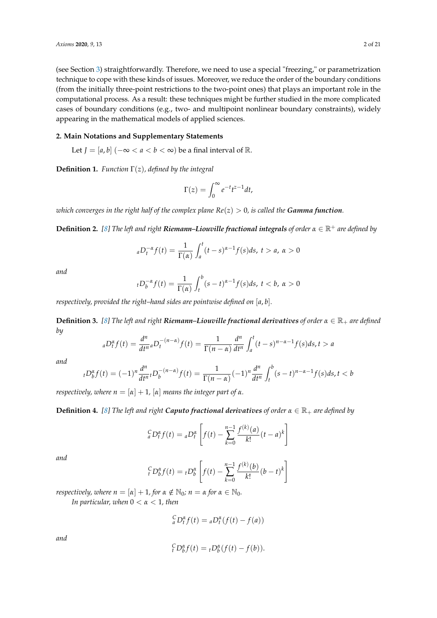(see Section [3\)](#page-2-0) straightforwardly. Therefore, we need to use a special "freezing," or parametrization technique to cope with these kinds of issues. Moreover, we reduce the order of the boundary conditions (from the initially three-point restrictions to the two-point ones) that plays an important role in the computational process. As a result: these techniques might be further studied in the more complicated cases of boundary conditions (e.g., two- and multipoint nonlinear boundary constraints), widely appearing in the mathematical models of applied sciences.

## <span id="page-1-0"></span>**2. Main Notations and Supplementary Statements**

Let *J* = [*a*, *b*] (−∞ < *a* < *b* < ∞) be a final interval of ℝ.

**Definition 1.** *Function* Γ(*z*)*, defined by the integral*

$$
\Gamma(z) = \int_0^\infty e^{-t} t^{z-1} dt,
$$

*which converges in the right half of the complex plane*  $Re(z) > 0$ *, is called the Gamma function.* 

**Definition 2.** [\[8\]](#page-19-10) The left and right **Riemann–Liouville fractional integrals** of order  $\alpha \in \mathbb{R}^+$  are defined by

$$
{}_{a}D_{t}^{-\alpha}f(t)=\frac{1}{\Gamma(\alpha)}\int_{a}^{t}(t-s)^{\alpha-1}f(s)ds,\ t>a,\ \alpha>0
$$

*and*

$$
{}_{t}D_{b}^{-\alpha}f(t) = \frac{1}{\Gamma(\alpha)} \int_{t}^{b} (s-t)^{\alpha-1} f(s) ds, \ t < b, \ \alpha > 0
$$

*respectively, provided the right–hand sides are pointwise defined on* [*a*, *b*]*.*

**Definition 3.** [\[8\]](#page-19-10) The left and right **Riemann–Liouville fractional derivatives** of order  $\alpha \in \mathbb{R}_+$  are defined *by*

$$
{}_{a}D_{t}^{\alpha}f(t) = \frac{d^{n}}{dt^{n}} {}_{a}D_{t}^{-(n-\alpha)}f(t) = \frac{1}{\Gamma(n-\alpha)}\frac{d^{n}}{dt^{n}}\int_{a}^{t}(t-s)^{n-\alpha-1}f(s)ds, t > a
$$

*and*

$$
{}_{t}D_{b}^{\alpha}f(t) = (-1)^{n}\frac{d^{n}}{dt^{n}}{}_{t}D_{b}^{-(n-\alpha)}f(t) = \frac{1}{\Gamma(n-\alpha)}(-1)^{n}\frac{d^{n}}{dt^{n}}\int_{t}^{b}(s-t)^{n-\alpha-1}f(s)ds, t < b
$$

*respectively, where*  $n = [\alpha] + 1$ ,  $[\alpha]$  *means the integer part of*  $\alpha$ *.* 

**Definition 4.** [\[8\]](#page-19-10) The left and right **Caputo fractional derivatives** of order  $\alpha \in \mathbb{R}_+$  are defined by

$$
{}_{a}^{C}D_{t}^{\alpha}f(t) = {}_{a}D_{t}^{\alpha}\left[f(t) - \sum_{k=0}^{n-1} \frac{f^{(k)}(a)}{k!}(t-a)^{k}\right]
$$

*and*

$$
{}_{t}^{C}D_{b}^{\alpha}f(t) = {}_{t}D_{b}^{\alpha}\left[f(t) - \sum_{k=0}^{n-1} \frac{f^{(k)}(b)}{k!}(b-t)^{k}\right]
$$

*respectively, where*  $n = [\alpha] + 1$ *, for*  $\alpha \notin \mathbb{N}_0$ *;*  $n = \alpha$  *for*  $\alpha \in \mathbb{N}_0$ *. In particular, when* 0 < *α* < 1*, then*

 $\int_{a}^{C} D_{t}^{\alpha} f(t) = a D_{t}^{\alpha} (f(t) - f(a))$ 

*and*

$$
{}_{t}^{C}D_{b}^{\alpha}f(t) = {}_{t}D_{b}^{\alpha}(f(t) - f(b)).
$$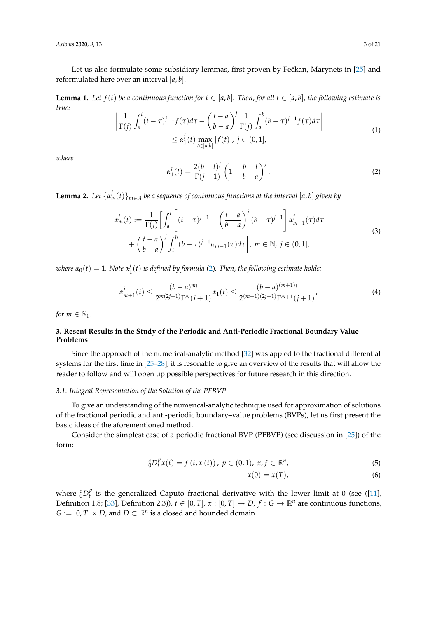*Axioms* **2020**, *9*, 13 3 of 21

Let us also formulate some subsidiary lemmas, first proven by Fečkan, Marynets in [\[25\]](#page-20-0) and reformulated here over an interval [*a*, *b*].

**Lemma 1.** Let  $f(t)$  be a continuous function for  $t \in [a, b]$ . Then, for all  $t \in [a, b]$ , the following estimate is *true:*

$$
\left| \frac{1}{\Gamma(j)} \int_a^t (t-\tau)^{j-1} f(\tau) d\tau - \left( \frac{t-a}{b-a} \right)^j \frac{1}{\Gamma(j)} \int_a^b (b-\tau)^{j-1} f(\tau) d\tau \right|
$$
  

$$
\leq \alpha_1^j(t) \max_{t \in [a,b]} |f(t)|, j \in (0,1],
$$
 (1)

*where*

<span id="page-2-1"></span>
$$
\alpha_1^j(t) = \frac{2(b-t)^j}{\Gamma(j+1)} \left(1 - \frac{b-t}{b-a}\right)^j.
$$
\n(2)

**Lemma 2.** Let  $\{\alpha_m^j(t)\}_{m\in\mathbb{N}}$  be a sequence of continuous functions at the interval  $[a,b]$  given by

$$
\alpha_m^j(t) := \frac{1}{\Gamma(j)} \left[ \int_a^t \left[ (t-\tau)^{j-1} - \left( \frac{t-a}{b-a} \right)^j (b-\tau)^{j-1} \right] \alpha_{m-1}^j(\tau) d\tau \right. \\
\left. + \left( \frac{t-a}{b-a} \right)^j \int_t^b (b-\tau)^{j-1} \alpha_{m-1}(\tau) d\tau \right], \ m \in \mathbb{N}, \ j \in (0,1],
$$
\n(3)

 $\nu$ *where*  $\alpha_0(t) = 1$ *. Note*  $\alpha_1^j$ 1 (*t*) *is defined by formula* [\(2\)](#page-2-1)*. Then, the following estimate holds:*

$$
\alpha_{m+1}^j(t) \le \frac{(b-a)^{mj}}{2^{m(2j-1)}\Gamma^m(j+1)}\alpha_1(t) \le \frac{(b-a)^{(m+1)j}}{2^{(m+1)(2j-1)}\Gamma^{m+1}(j+1)},\tag{4}
$$

*for*  $m \in \mathbb{N}_0$ .

## <span id="page-2-0"></span>**3. Resent Results in the Study of the Periodic and Anti-Periodic Fractional Boundary Value Problems**

Since the approach of the numerical-analytic method [\[32\]](#page-20-3) was appied to the fractional differential systems for the first time in [\[25–](#page-20-0)[28\]](#page-20-1), it is resonable to give an overview of the results that will allow the reader to follow and will open up possible perspectives for future research in this direction.

## <span id="page-2-4"></span>*3.1. Integral Representation of the Solution of the PFBVP*

To give an understanding of the numerical-analytic technique used for approximation of solutions of the fractional periodic and anti-periodic boundary–value problems (BVPs), let us first present the basic ideas of the aforementioned method.

Consider the simplest case of a periodic fractional BVP (PFBVP) (see discussion in [\[25\]](#page-20-0)) of the form:

$$
{}_{0}^{c}D_{t}^{p}x(t) = f(t, x(t)), p \in (0, 1), x, f \in \mathbb{R}^{n},
$$
\n(5)

<span id="page-2-3"></span><span id="page-2-2"></span>
$$
x(0) = x(T), \tag{6}
$$

where  ${}_{0}^{c}D_{t}^{p}$  $t<sub>t</sub><sup>l</sup>$  is the generalized Caputo fractional derivative with the lower limit at 0 (see ([\[11\]](#page-19-1), Definition 1.8; [\[33\]](#page-20-4), Definition 2.3)),  $t \in [0, T]$ ,  $x : [0, T] \rightarrow D$ ,  $f : G \rightarrow \mathbb{R}^n$  are continuous functions,  $G := [0, T] \times D$ , and  $D \subset \mathbb{R}^n$  is a closed and bounded domain.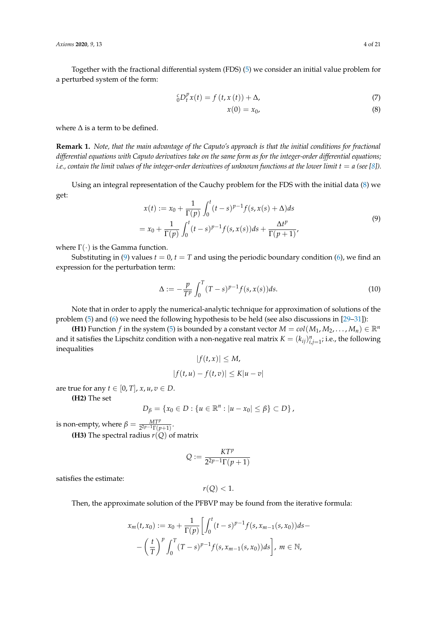Together with the fractional differential system (FDS) [\(5\)](#page-2-2) we consider an initial value problem for a perturbed system of the form:

$$
{}_{0}^{c}D_{t}^{p}x(t) = f(t, x(t)) + \Delta,
$$
\n(7)

<span id="page-3-0"></span>
$$
x(0) = x_0,\tag{8}
$$

where  $\Delta$  is a term to be defined.

**Remark 1.** *Note, that the main advantage of the Caputo's approach is that the initial conditions for fractional differential equations with Caputo derivatives take on the same form as for the integer-order differential equations; i.e., contain the limit values of the integer-order derivatives of unknown functions at the lower limit*  $t = a$  (see [\[8\]](#page-19-10)).

Using an integral representation of the Cauchy problem for the FDS with the initial data [\(8\)](#page-3-0) we get:

<span id="page-3-1"></span>
$$
x(t) := x_0 + \frac{1}{\Gamma(p)} \int_0^t (t - s)^{p-1} f(s, x(s) + \Delta) ds
$$
  
=  $x_0 + \frac{1}{\Gamma(p)} \int_0^t (t - s)^{p-1} f(s, x(s)) ds + \frac{\Delta t^p}{\Gamma(p+1)}$ , (9)

where  $\Gamma(\cdot)$  is the Gamma function.

Substituting in [\(9\)](#page-3-1) values  $t = 0$ ,  $t = T$  and using the periodic boundary condition [\(6\)](#page-2-3), we find an expression for the perturbation term:

<span id="page-3-2"></span>
$$
\Delta := -\frac{p}{T^p} \int_0^T (T - s)^{p-1} f(s, x(s)) ds.
$$
 (10)

Note that in order to apply the numerical-analytic technique for approximation of solutions of the problem [\(5\)](#page-2-2) and [\(6\)](#page-2-3) we need the following hypothesis to be held (see also discussions in [\[29–](#page-20-2)[31\]](#page-20-5)):

**(H1)** Function *f* in the system [\(5\)](#page-2-2) is bounded by a constant vector  $M = col(M_1, M_2, \ldots, M_n) \in \mathbb{R}^n$ and it satisfies the Lipschitz condition with a non-negative real matrix  $K = (k_{ij})_{i,j=1}^n$ ; i.e., the following inequalities

$$
|f(t, x)| \le M,
$$
  

$$
|f(t, u) - f(t, v)| \le K|u - v|
$$

are true for any  $t \in [0, T]$ ,  $x, u, v \in D$ .

**(H2)** The set

$$
D_{\beta} = \{x_0 \in D : \{u \in \mathbb{R}^n : |u - x_0| \le \beta\} \subset D\},\
$$

is non-empty, where  $\beta = \frac{MT^p}{2^{2p-1}\Gamma(p+1)}$ .

**(H3)** The spectral radius  $r(Q)$  of matrix

$$
Q := \frac{KT^p}{2^{2p-1}\Gamma(p+1)}
$$

satisfies the estimate:

$$
r(Q) < 1.
$$

Then, the approximate solution of the PFBVP may be found from the iterative formula:

$$
x_m(t, x_0) := x_0 + \frac{1}{\Gamma(p)} \left[ \int_0^t (t - s)^{p-1} f(s, x_{m-1}(s, x_0)) ds - \left( \frac{t}{T} \right)^p \int_0^T (T - s)^{p-1} f(s, x_{m-1}(s, x_0)) ds \right], \ m \in \mathbb{N},
$$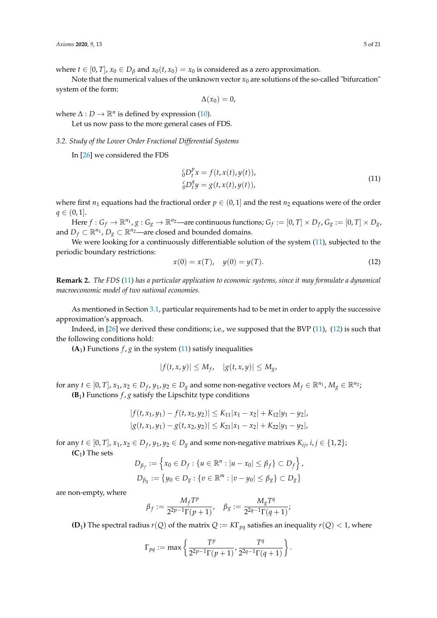where *t*  $\in$  [0, *T*],  $x_0 \in D_\beta$  and  $x_0(t, x_0) = x_0$  is considered as a zero approximation.

Note that the numerical values of the unknown vector  $x_0$  are solutions of the so-called "bifurcation" system of the form:

 $\Delta(x_0) = 0,$ 

where  $\Delta: D \to \mathbb{R}^n$  is defined by expression [\(10\)](#page-3-2).

Let us now pass to the more general cases of FDS.

<span id="page-4-2"></span>*3.2. Study of the Lower Order Fractional Differential Systems*

In [\[26\]](#page-20-6) we considered the FDS

<span id="page-4-0"></span>
$$
{}_{0}^{c}D_{t}^{p}x = f(t, x(t), y(t)),
$$
  
\n
$$
{}_{0}^{c}D_{t}^{q}y = g(t, x(t), y(t)),
$$
\n(11)

where first  $n_1$  equations had the fractional order  $p \in (0, 1]$  and the rest  $n_2$  equations were of the order  $q \in (0, 1].$ 

 $H$ ere  $f: G_f \to \mathbb{R}^{n_1}$ ,  $g: G_g \to \mathbb{R}^{n_2}$ —are continuous functions;  $G_f:=[0,T]\times D_f$ ,  $G_g:=[0,T]\times D_g$ , and *D*<sup>*f*</sup> ⊂  $\mathbb{R}^{n_1}$ , *D*<sup>*g*</sup> ⊂  $\mathbb{R}^{n_2}$ —are closed and bounded domains.

We were looking for a continuously differentiable solution of the system [\(11\)](#page-4-0), subjected to the periodic boundary restrictions:

<span id="page-4-1"></span>
$$
x(0) = x(T), \quad y(0) = y(T). \tag{12}
$$

**Remark 2.** *The FDS* [\(11\)](#page-4-0) *has a particular application to economic systems, since it may formulate a dynamical macroeconomic model of two national economies.*

As mentioned in Section [3.1,](#page-2-4) particular requirements had to be met in order to apply the successive approximation's approach.

Indeed, in [\[26\]](#page-20-6) we derived these conditions; i.e., we supposed that the BVP [\(11\)](#page-4-0), [\(12\)](#page-4-1) is such that the following conditions hold:

 $(A_1)$  Functions  $f$ ,  $g$  in the system [\(11\)](#page-4-0) satisfy inequalities

$$
|f(t,x,y)| \le M_f, \quad |g(t,x,y)| \le M_g,
$$

for any  $t \in [0, T]$ ,  $x_1, x_2 \in D_f$ ,  $y_1, y_2 \in D_g$  and some non-negative vectors  $M_f \in \mathbb{R}^{n_1}$ ,  $M_g \in \mathbb{R}^{n_2}$ ; **(B**<sub>1</sub>) Functions  $f$ ,  $g$  satisfy the Lipschitz type conditions

$$
|f(t, x_1, y_1) - f(t, x_2, y_2)| \le K_{11}|x_1 - x_2| + K_{12}|y_1 - y_2|,
$$
  

$$
|g(t, x_1, y_1) - g(t, x_2, y_2)| \le K_{21}|x_1 - x_2| + K_{22}|y_1 - y_2|,
$$

for any  $t \in [0, T]$ ,  $x_1, x_2 \in D_f$ ,  $y_1, y_2 \in D_g$  and some non-negative matrixes  $K_{ij}$ ,  $i, j \in \{1, 2\}$ ;  $(C_1)$  The sets

$$
D_{\beta_f} := \left\{ x_0 \in D_f : \{ u \in \mathbb{R}^n : |u - x_0| \le \beta_f \} \subset D_f \right\},
$$
  

$$
D_{\beta_g} := \left\{ y_0 \in D_g : \{ v \in \mathbb{R}^m : |v - y_0| \le \beta_g \} \subset D_g \right\}
$$

are non-empty, where

$$
\beta_f:=\frac{M_f T^p}{2^{2p-1}\Gamma(p+1)},\quad \beta_g:=\frac{M_g T^q}{2^{2q-1}\Gamma(q+1)};
$$

**(D**<sub>1</sub>) The spectral radius  $r(Q)$  of the matrix  $Q := K\Gamma_{pq}$  satisfies an inequality  $r(Q) < 1$ , where

$$
\Gamma_{pq} := \max \left\{ \frac{T^p}{2^{2p-1}\Gamma(p+1)}, \frac{T^q}{2^{2q-1}\Gamma(q+1)} \right\}.
$$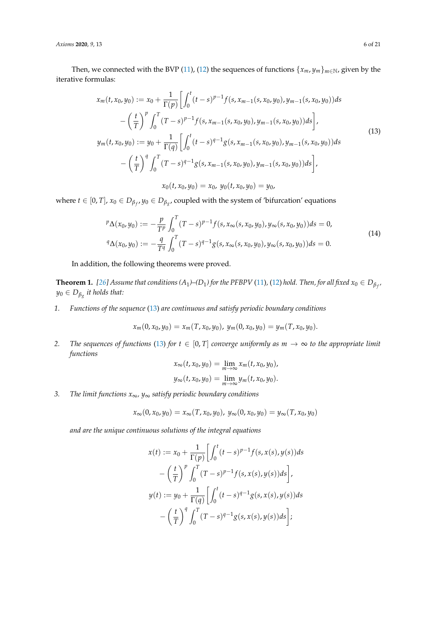*Axioms* **2020**, *9*, 13 6 of 21

Then, we connected with the BVP [\(11\)](#page-4-0), [\(12\)](#page-4-1) the sequences of functions  $\{x_m, y_m\}_{m\in\mathbb{N}}$ , given by the iterative formulas:

<span id="page-5-0"></span>
$$
x_m(t, x_0, y_0) := x_0 + \frac{1}{\Gamma(p)} \Big[ \int_0^t (t-s)^{p-1} f(s, x_{m-1}(s, x_0, y_0), y_{m-1}(s, x_0, y_0)) ds - \left(\frac{t}{T}\right)^p \int_0^T (T-s)^{p-1} f(s, x_{m-1}(s, x_0, y_0), y_{m-1}(s, x_0, y_0)) ds \Big],
$$
  
\n
$$
y_m(t, x_0, y_0) := y_0 + \frac{1}{\Gamma(q)} \Big[ \int_0^t (t-s)^{q-1} g(s, x_{m-1}(s, x_0, y_0), y_{m-1}(s, x_0, y_0)) ds - \left(\frac{t}{T}\right)^q \int_0^T (T-s)^{q-1} g(s, x_{m-1}(s, x_0, y_0), y_{m-1}(s, x_0, y_0)) ds \Big],
$$
  
\n
$$
x_0(t, x_0, y_0) = x_0, y_0(t, x_0, y_0) = y_0,
$$
\n(13)

where  $t \in [0, T]$ ,  $x_0 \in D_{\beta_f}$ ,  $y_0 \in D_{\beta_g}$ , coupled with the system of 'bifurcation' equations

$$
{}^{p}\Delta(x_{0},y_{0}) := -\frac{p}{T^{p}} \int_{0}^{T} (T-s)^{p-1} f(s, x_{\infty}(s, x_{0}, y_{0}), y_{\infty}(s, x_{0}, y_{0})) ds = 0,
$$
  

$$
{}^{q}\Delta(x_{0}, y_{0}) := -\frac{q}{T^{q}} \int_{0}^{T} (T-s)^{q-1} g(s, x_{\infty}(s, x_{0}, y_{0}), y_{\infty}(s, x_{0}, y_{0})) ds = 0.
$$
 (14)

In addition, the following theorems were proved.

<span id="page-5-1"></span>**Theorem 1.** [\[26\]](#page-20-6) Assume that conditions (A<sub>1</sub>)–(D<sub>1</sub>) for the PFBPV [\(11\)](#page-4-0), [\(12\)](#page-4-1) hold. Then, for all fixed  $x_0 \in D_{\beta_{f'}}$ *y*<sup>0</sup> ∈ *Dβ<sup>g</sup> it holds that:*

*1. Functions of the sequence* [\(13\)](#page-5-0) *are continuous and satisfy periodic boundary conditions*

$$
x_m(0, x_0, y_0) = x_m(T, x_0, y_0), y_m(0, x_0, y_0) = y_m(T, x_0, y_0).
$$

*2. The sequences of functions* [\(13\)](#page-5-0) *for*  $t \in [0, T]$  *converge uniformly as*  $m \to \infty$  *to the appropriate limit functions*

$$
x_{\infty}(t, x_0, y_0) = \lim_{m \to \infty} x_m(t, x_0, y_0),
$$
  

$$
y_{\infty}(t, x_0, y_0) = \lim_{m \to \infty} y_m(t, x_0, y_0).
$$

*3. The limit functions x*∞*, y*∞ *satisfy periodic boundary conditions*

$$
x_{\infty}(0, x_0, y_0) = x_{\infty}(T, x_0, y_0), y_{\infty}(0, x_0, y_0) = y_{\infty}(T, x_0, y_0)
$$

*and are the unique continuous solutions of the integral equations*

$$
x(t) := x_0 + \frac{1}{\Gamma(p)} \Biggl[ \int_0^t (t-s)^{p-1} f(s, x(s), y(s)) ds - \left( \frac{t}{T} \right)^p \int_0^T (T-s)^{p-1} f(s, x(s), y(s)) ds \Biggr],
$$
  

$$
y(t) := y_0 + \frac{1}{\Gamma(q)} \Biggl[ \int_0^t (t-s)^{q-1} g(s, x(s), y(s)) ds - \left( \frac{t}{T} \right)^q \int_0^T (T-s)^{q-1} g(s, x(s), y(s)) ds \Biggr];
$$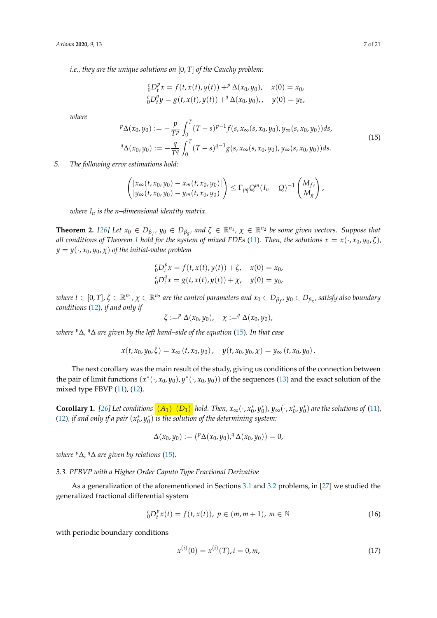*i.e., they are the unique solutions on* [0, *T*] *of the Cauchy problem:*

$$
{}_{0}^{c}D_{t}^{p}x = f(t, x(t), y(t)) + {}^{p}\Delta(x_{0}, y_{0}), \quad x(0) = x_{0},
$$
  

$$
{}_{0}^{c}D_{t}^{q}y = g(t, x(t), y(t)) + {}^{q}\Delta(x_{0}, y_{0}), \quad y(0) = y_{0},
$$

*where*

<span id="page-6-0"></span>
$$
{}^{p}\Delta(x_{0},y_{0}) := -\frac{p}{T^{p}} \int_{0}^{T} (T-s)^{p-1} f(s, x_{\infty}(s, x_{0}, y_{0}), y_{\infty}(s, x_{0}, y_{0})) ds,
$$
  
\n
$$
{}^{q}\Delta(x_{0}, y_{0}) := -\frac{q}{T^{q}} \int_{0}^{T} (T-s)^{q-1} g(s, x_{\infty}(s, x_{0}, y_{0}), y_{\infty}(s, x_{0}, y_{0})) ds.
$$
\n
$$
(15)
$$

*5. The following error estimations hold:*

$$
\begin{pmatrix} |x_{\infty}(t,x_0,y_0)-x_m(t,x_0,y_0)| \ |y_{\infty}(t,x_0,y_0)-y_m(t,x_0,y_0)| \end{pmatrix} \leq \Gamma_{pq} Q^m (I_n-Q)^{-1} \begin{pmatrix} M_f \\ M_g \end{pmatrix},
$$

*where I<sup>n</sup> is the n–dimensional identity matrix.*

**Theorem 2.** [\[26\]](#page-20-6) Let  $x_0 \in D_{\beta_f}$ ,  $y_0 \in D_{\beta_g}$ , and  $\zeta \in \mathbb{R}^{n_1}$ ,  $\chi \in \mathbb{R}^{n_2}$  be some given vectors. Suppose that *all conditions of Theorem* [1](#page-5-1) *hold for the system of mixed FDEs* [\(11\)](#page-4-0). Then, the solutions  $x = x(\cdot, x_0, y_0, \zeta)$ ,  $y = y(\cdot, x_0, y_0, \chi)$  *of the initial-value problem* 

$$
{}_{0}^{c}D_{t}^{p}x = f(t, x(t), y(t)) + \zeta, \quad x(0) = x_{0},
$$
  
\n
$$
{}_{0}^{c}D_{t}^{q}x = g(t, x(t), y(t)) + \chi, \quad y(0) = y_{0},
$$

where  $t\in[0,T]$ ,  $\zeta\in\mathbb{R}^{n_1}$ ,  $\chi\in\mathbb{R}^{n_2}$  are the control parameters and  $x_0\in D_{\beta_{f'}}$   $y_0\in D_{\beta_{g'}}$  satisfy also boundary *conditions* [\(12\)](#page-4-1)*, if and only if*

$$
\zeta :=^p \Delta(x_0, y_0), \quad \chi :=^q \Delta(x_0, y_0),
$$

*where <sup>p</sup>*∆*, <sup>q</sup>*∆ *are given by the left hand–side of the equation* [\(15\)](#page-6-0)*. In that case*

$$
x(t, x_0, y_0, \zeta) = x_\infty(t, x_0, y_0), \quad y(t, x_0, y_0, \chi) = y_\infty(t, x_0, y_0).
$$

The next corollary was the main result of the study, giving us conditions of the connection between the pair of limit functions  $(x^*(\cdot,x_0,y_0), y^*(\cdot,x_0,y_0))$  of the sequences [\(13\)](#page-5-0) and the exact solution of the mixed type FBVP [\(11\)](#page-4-0), [\(12\)](#page-4-1).

**Corollary 1.** [\[26\]](#page-20-6) Let conditions  $(A_1)$ – $(D_1)$  hold. Then,  $x_\infty(\cdot, x_0^*, y_0^*)$ ,  $y_\infty(\cdot, x_0^*, y_0^*)$  are the solutions of [\(11\)](#page-4-0), [\(12\)](#page-4-1), if and only if a pair  $(x_0^*,y_0^*)$  is the solution of the determining system:

$$
\Delta(x_0, y_0) := ({}^p \Delta(x_0, y_0), {}^q \Delta(x_0, y_0)) = 0,
$$

*where <sup>p</sup>*∆*, <sup>q</sup>*∆ *are given by relations* [\(15\)](#page-6-0)*.*

## *3.3. PFBVP with a Higher Order Caputo Type Fractional Derivative*

As a generalization of the aforementioned in Sections [3.1](#page-2-4) and [3.2](#page-4-2) problems, in [\[27\]](#page-20-7) we studied the generalized fractional differential system

<span id="page-6-1"></span>
$$
{}_{0}^{c}D_{t}^{p}x(t) = f(t, x(t)), \ p \in (m, m+1), \ m \in \mathbb{N}
$$
 (16)

with periodic boundary conditions

<span id="page-6-2"></span>
$$
x^{(i)}(0) = x^{(i)}(T), i = \overline{0, m},
$$
\n(17)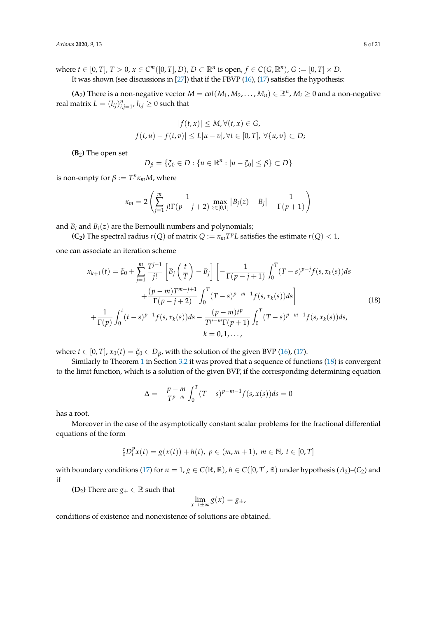where  $t \in [0, T]$ ,  $T > 0$ ,  $x \in C^m([0, T], D)$ ,  $D \subset \mathbb{R}^n$  is open,  $f \in C(G, \mathbb{R}^n)$ ,  $G := [0, T] \times D$ .

It was shown (see discussions in  $[27]$ ) that if the FBVP  $(16)$ ,  $(17)$  satisfies the hypothesis:

**(A**<sub>2</sub>) There is a non-negative vector  $M = col(M_1, M_2, \ldots, M_n) \in \mathbb{R}^n$ ,  $M_i \geq 0$  and a non-negative real matrix  $L = (l_{ij})_{i,j=1}^n$ ,  $l_{i,j} \geq 0$  such that

$$
|f(t,x)| \le M, \forall (t,x) \in G,
$$
  

$$
|f(t,u) - f(t,v)| \le L|u - v|, \forall t \in [0,T], \forall \{u,v\} \subset D;
$$

**(B**2**)** The open set

$$
D_{\beta} = \{ \xi_0 \in D : \{ u \in \mathbb{R}^n : |u - \xi_0| \le \beta \} \subset D \}
$$

is non-empty for  $\beta := T^p \kappa_m M$ , where

$$
\kappa_m = 2 \left( \sum_{j=1}^m \frac{1}{j! \Gamma(p-j+2)} \max_{z \in [0,1]} |B_j(z) - B_j| + \frac{1}{\Gamma(p+1)} \right)
$$

and  $B_i$  and  $B_i(z)$  are the Bernoulli numbers and polynomials;

**(C**<sub>2</sub>**)** The spectral radius  $r(Q)$  of matrix  $Q := \kappa_m T^p L$  satisfies the estimate  $r(Q) < 1$ ,

one can associate an iteration scheme

<span id="page-7-0"></span>
$$
x_{k+1}(t) = \xi_0 + \sum_{j=1}^{m} \frac{T^{j-1}}{j!} \left[ B_j \left( \frac{t}{T} \right) - B_j \right] \left[ -\frac{1}{\Gamma(p-j+1)} \int_0^T (T-s)^{p-j} f(s, x_k(s)) ds \right. + \frac{(p-m)T^{m-j+1}}{\Gamma(p-j+2)} \int_0^T (T-s)^{p-m-1} f(s, x_k(s)) ds \right] + \frac{1}{\Gamma(p)} \int_0^t (t-s)^{p-1} f(s, x_k(s)) ds - \frac{(p-m)t^p}{T^{p-m} \Gamma(p+1)} \int_0^T (T-s)^{p-m-1} f(s, x_k(s)) ds, k = 0, 1, ...,
$$
 (18)

where  $t \in [0, T]$ ,  $x_0(t) = \xi_0 \in D_\beta$ , with the solution of the given BVP [\(16\)](#page-6-1), [\(17\)](#page-6-2).

Similarly to Theorem [1](#page-5-1) in Section [3.2](#page-4-2) it was proved that a sequence of functions [\(18\)](#page-7-0) is convergent to the limit function, which is a solution of the given BVP, if the corresponding determining equation

$$
\Delta = -\frac{p - m}{T^{p - m}} \int_0^T (T - s)^{p - m - 1} f(s, x(s)) ds = 0
$$

has a root.

Moreover in the case of the asymptotically constant scalar problems for the fractional differential equations of the form

$$
{}_{0}^{c}D_{t}^{p}x(t) = g(x(t)) + h(t), \ p \in (m, m + 1), \ m \in \mathbb{N}, \ t \in [0, T]
$$

with boundary conditions [\(17\)](#page-6-2) for  $n = 1$ ,  $g \in C(\mathbb{R}, \mathbb{R})$ ,  $h \in C([0, T], \mathbb{R})$  under hypothesis (A<sub>2</sub>)–(C<sub>2</sub>) and if

**(D**<sub>2</sub>**)** There are  $g_{\pm} \in \mathbb{R}$  such that

$$
\lim_{x \to \pm \infty} g(x) = g_{\pm},
$$

conditions of existence and nonexistence of solutions are obtained.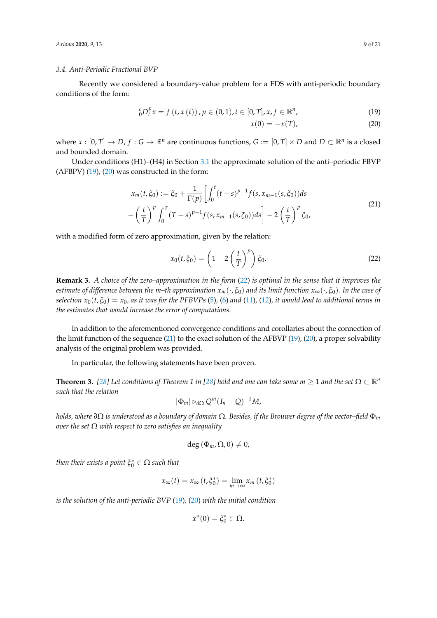#### *3.4. Anti-Periodic Fractional BVP*

Recently we considered a boundary-value problem for a FDS with anti-periodic boundary conditions of the form:

$$
{}_{0}^{c}D_{t}^{p}x = f(t, x(t)), p \in (0, 1), t \in [0, T], x, f \in \mathbb{R}^{n},
$$
\n(19)

<span id="page-8-1"></span><span id="page-8-0"></span>
$$
x(0) = -x(T), \tag{20}
$$

where  $x : [0, T] \to D$ ,  $f : G \to \mathbb{R}^n$  are continuous functions,  $G := [0, T] \times D$  and  $D \subset \mathbb{R}^n$  is a closed and bounded domain.

Under conditions (H1)–(H4) in Section [3.1](#page-2-4) the approximate solution of the anti–periodic FBVP (AFBPV) [\(19\)](#page-8-0), [\(20\)](#page-8-1) was constructed in the form:

<span id="page-8-3"></span>
$$
x_m(t,\xi_0) := \xi_0 + \frac{1}{\Gamma(p)} \left[ \int_0^t (t-s)^{p-1} f(s, x_{m-1}(s, \xi_0)) ds - \left( \frac{t}{T} \right)^p \int_0^T (T-s)^{p-1} f(s, x_{m-1}(s, \xi_0)) ds \right] - 2 \left( \frac{t}{T} \right)^p \xi_0,
$$
\n(21)

with a modified form of zero approximation, given by the relation:

<span id="page-8-2"></span>
$$
x_0(t,\xi_0) = \left(1 - 2\left(\frac{t}{T}\right)^p\right)\xi_0.
$$
\n(22)

**Remark 3.** *A choice of the zero–approximation in the form* [\(22\)](#page-8-2) *is optimal in the sense that it improves the estimate of difference between the m–th approximation*  $x_m(\cdot,\xi_0)$  *and its limit function*  $x_\infty(\cdot,\xi_0)$ *. In the case of selection*  $x_0(t, \xi_0) = x_0$ *, as it was for the PFBVPs* [\(5\)](#page-2-2), [\(6\)](#page-2-3) and [\(11\)](#page-4-0), [\(12\)](#page-4-1), *it would lead to additional terms in the estimates that would increase the error of computations.*

In addition to the aforementioned convergence conditions and corollaries about the connection of the limit function of the sequence [\(21\)](#page-8-3) to the exact solution of the AFBVP [\(19\)](#page-8-0), [\(20\)](#page-8-1), a proper solvability analysis of the original problem was provided.

In particular, the following statements have been proven.

**Theorem 3.** [\[28\]](#page-20-1) Let conditions of Theorem 1 in [28] hold and one can take some  $m \ge 1$  and the set  $\Omega \subset \mathbb{R}^n$ *such that the relation*

$$
|\Phi_m| \rhd_{\partial\Omega} Q^m (I_n - Q)^{-1} M,
$$

*holds, where ∂*Ω *is understood as a boundary of domain* Ω*. Besides, if the Brouwer degree of the vector–field* Φ*<sup>m</sup> over the set* Ω *with respect to zero satisfies an inequality*

$$
\deg\left(\Phi_m,\Omega,0\right)\neq 0,
$$

*then their exists a point*  $\xi_0^* \in \Omega$  *such that* 

$$
x_{\infty}(t) = x_{\infty}(t, \xi_0^*) = \lim_{m \to \infty} x_m(t, \xi_0^*)
$$

*is the solution of the anti-periodic BVP* [\(19\)](#page-8-0)*,* [\(20\)](#page-8-1) *with the initial condition*

$$
x^*(0)=\xi_0^*\in\Omega.
$$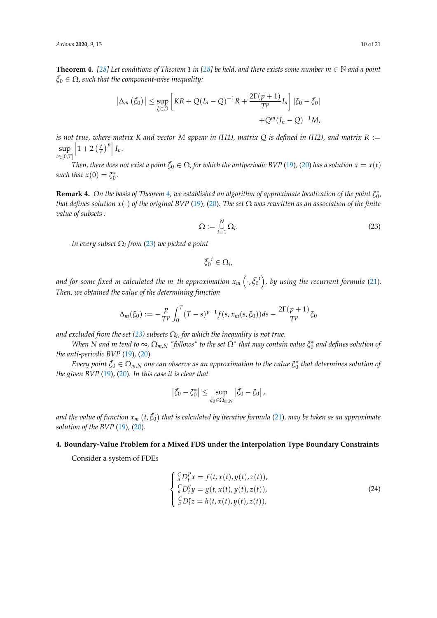<span id="page-9-1"></span>**Theorem 4.** [\[28\]](#page-20-1) Let conditions of Theorem 1 in [28] be held, and there exists some number  $m \in \mathbb{N}$  and a point  $\bar{\xi}_0 \in \Omega$ , such that the component-wise inequality:

$$
\left|\Delta_m\left(\bar{\xi}_0\right)\right| \leq \sup_{\bar{\xi}\in D} \left[KR + Q(I_n - Q)^{-1}R + \frac{2\Gamma(p+1)}{T^p}I_n\right] \left|\xi_0 - \bar{\xi}_0\right|
$$

$$
+ Q^m(I_n - Q)^{-1}M,
$$

*is not true, where matrix K* and vector *M* appear in (H1), matrix *Q* is defined in (H2), and matrix  $R :=$  $\sup_{t \in [0,T]} \left| 1 + 2 \left( \frac{t}{T} \right)^p \right| I_n.$ *t*∈[0,*T*]

*Then, there does not exist a point*  $\bar{\xi}_0 \in \Omega$ , for which the antiperiodic BVP [\(19\)](#page-8-0), [\(20\)](#page-8-1) has a solution  $x = x(t)$  $such that x(0) = \xi_0^*$ .

**Remark 4.** On the basis of Theorem [4,](#page-9-1) we established an algorithm of approximate localization of the point  $\xi_0^*$ , *that defines solution x*(·) *of the original BVP* [\(19\)](#page-8-0)*,* [\(20\)](#page-8-1)*. The set* Ω *was rewritten as an association of the finite value of subsets :*

<span id="page-9-2"></span>
$$
\Omega := \bigcup_{i=1}^{N} \Omega_i.
$$
\n(23)

*In every subset* Ω*<sup>i</sup> from* [\(23\)](#page-9-2) *we picked a point*

$$
\bar{\xi_0}^i\in\Omega_i,
$$

and for some fixed  $m$  calculated the m–th approximation  $x_m\left(\cdot,\bar{\xi_0}^i\right)$ , by using the recurrent formula [\(21\)](#page-8-3). *Then, we obtained the value of the determining function*

$$
\Delta_m(\xi_0) := -\frac{p}{T^p} \int_0^T (T-s)^{p-1} f(s, x_m(s, \xi_0)) ds - \frac{2\Gamma(p+1)}{T^p} \xi_0
$$

and excluded from the set [\(23\)](#page-9-2) subsets  $\Omega_i$ , for which the inequality is not true.

*When*  $N$  and  $m$  *tend to*  $\infty$ ,  $\Omega_{m,N}$  "follows" to the set  $\Omega^*$  that may contain value  $\xi_0^*$  and defines solution of *the anti-periodic BVP* [\(19\)](#page-8-0)*,* [\(20\)](#page-8-1)*.*

 $E$ very point  $\tilde{\xi}_0\in\Omega_{m,N}$  one can observe as an approximation to the value  $\xi_0^*$  that determines solution of *the given BVP* [\(19\)](#page-8-0)*,* [\(20\)](#page-8-1)*. In this case it is clear that*

$$
\left|\tilde{\xi_0}-\xi_0^*\right|\leq \sup_{\tilde{\xi}_0\in\Omega_{m,N}}\left|\tilde{\xi_0}-\tilde{\xi}_0\right|,
$$

and the value of function  $x_m\left(t,\tilde{\xi_0}\right)$  that is calculated by iterative formula [\(21\)](#page-8-3), may be taken as an approximate *solution of the BVP* [\(19\)](#page-8-0)*,* [\(20\)](#page-8-1)*.*

## <span id="page-9-0"></span>**4. Boundary-Value Problem for a Mixed FDS under the Interpolation Type Boundary Constraints**

Consider a system of FDEs

<span id="page-9-3"></span>
$$
\begin{cases} \n\binom{C}{a} D_t^p x = f(t, x(t), y(t), z(t)), \\ \n\binom{C}{a} D_t^q y = g(t, x(t), y(t), z(t)), \\ \n\binom{C}{a} D_t^r z = h(t, x(t), y(t), z(t)), \n\end{cases} \tag{24}
$$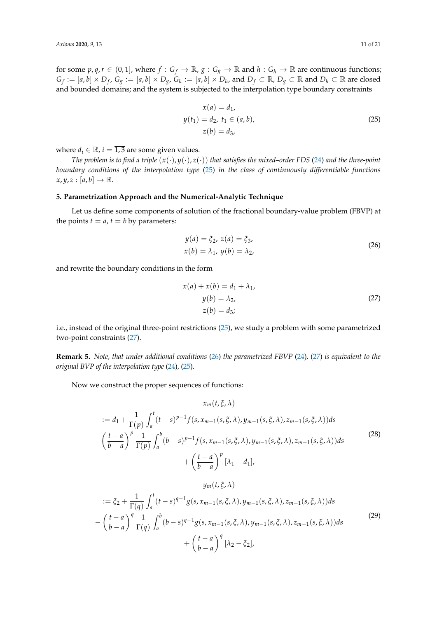for some  $p, q, r \in (0, 1]$ , where  $f : G_f \to \mathbb{R}$ ,  $g : G_g \to \mathbb{R}$  and  $h : G_h \to \mathbb{R}$  are continuous functions;  $G_f:=[a,b]\times D_f$ ,  $G_g:=[a,b]\times D_g$ ,  $G_h:=[a,b]\times D_h$ , and  $D_f\subset\mathbb{R}$ ,  $D_g\subset\mathbb{R}$  and  $D_h\subset\mathbb{R}$  are closed and bounded domains; and the system is subjected to the interpolation type boundary constraints

<span id="page-10-0"></span>
$$
x(a) = d_1,
$$
  
\n
$$
y(t_1) = d_2, t_1 \in (a, b),
$$
  
\n
$$
z(b) = d_3,
$$
\n(25)

where  $d_i \in \mathbb{R}$ ,  $i = \overline{1,3}$  are some given values.

*The problem is to find a triple*  $(x(\cdot), y(\cdot), z(\cdot))$  *that satisfies the mixed–order FDS* [\(24\)](#page-9-3) *and the three-point boundary conditions of the interpolation type* [\(25\)](#page-10-0) *in the class of continuously differentiable functions*  $x, y, z : [a, b] \rightarrow \mathbb{R}$ .

## **5. Parametrization Approach and the Numerical-Analytic Technique**

Let us define some components of solution of the fractional boundary-value problem (FBVP) at the points  $t = a$ ,  $t = b$  by parameters:

<span id="page-10-2"></span>
$$
y(a) = \xi_2, z(a) = \xi_3,x(b) = \lambda_1, y(b) = \lambda_2,
$$
 (26)

and rewrite the boundary conditions in the form

<span id="page-10-1"></span>
$$
x(a) + x(b) = d_1 + \lambda_1,
$$
  
\n
$$
y(b) = \lambda_2,
$$
  
\n
$$
z(b) = d_3;
$$
\n(27)

i.e., instead of the original three-point restrictions [\(25\)](#page-10-0), we study a problem with some parametrized two-point constraints [\(27\)](#page-10-1).

**Remark 5.** *Note, that under additional conditions* [\(26\)](#page-10-2) *the parametrized FBVP* [\(24\)](#page-9-3)*,* [\(27\)](#page-10-1) *is equivalent to the original BVP of the interpolation type* [\(24\)](#page-9-3)*,* [\(25\)](#page-10-0)*.*

Now we construct the proper sequences of functions:

<span id="page-10-3"></span>
$$
x_m(t, \xi, \lambda)
$$
  
\n
$$
:= d_1 + \frac{1}{\Gamma(p)} \int_a^t (t-s)^{p-1} f(s, x_{m-1}(s, \xi, \lambda), y_{m-1}(s, \xi, \lambda), z_{m-1}(s, \xi, \lambda)) ds
$$
  
\n
$$
- \left(\frac{t-a}{b-a}\right)^p \frac{1}{\Gamma(p)} \int_a^b (b-s)^{p-1} f(s, x_{m-1}(s, \xi, \lambda), y_{m-1}(s, \xi, \lambda), z_{m-1}(s, \xi, \lambda)) ds
$$
  
\n
$$
+ \left(\frac{t-a}{b-a}\right)^p [\lambda_1 - d_1],
$$
\n(28)

$$
y_m(t, \xi, \lambda)
$$
  
\n
$$
:= \xi_2 + \frac{1}{\Gamma(q)} \int_a^t (t - s)^{q-1} g(s, x_{m-1}(s, \xi, \lambda), y_{m-1}(s, \xi, \lambda), z_{m-1}(s, \xi, \lambda)) ds
$$
  
\n
$$
- \left(\frac{t - a}{b - a}\right)^q \frac{1}{\Gamma(q)} \int_a^b (b - s)^{q-1} g(s, x_{m-1}(s, \xi, \lambda), y_{m-1}(s, \xi, \lambda), z_{m-1}(s, \xi, \lambda)) ds
$$
  
\n
$$
+ \left(\frac{t - a}{b - a}\right)^q [\lambda_2 - \xi_2],
$$
\n(29)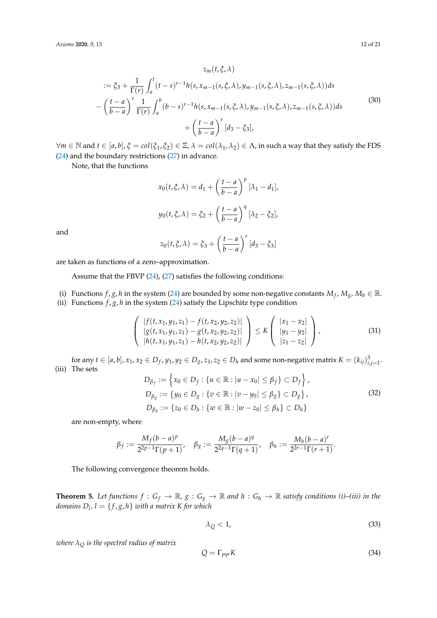<span id="page-11-0"></span>
$$
z_{m}(t, \xi, \lambda)
$$
  
\n
$$
:= \xi_{3} + \frac{1}{\Gamma(r)} \int_{a}^{t} (t - s)^{r-1} h(s, x_{m-1}(s, \xi, \lambda), y_{m-1}(s, \xi, \lambda), z_{m-1}(s, \xi, \lambda)) ds
$$
  
\n
$$
- \left(\frac{t - a}{b - a}\right)^{r} \frac{1}{\Gamma(r)} \int_{a}^{b} (b - s)^{r-1} h(s, x_{m-1}(s, \xi, \lambda), y_{m-1}(s, \xi, \lambda), z_{m-1}(s, \xi, \lambda)) ds
$$
  
\n
$$
+ \left(\frac{t - a}{b - a}\right)^{r} [d_{3} - \xi_{3}],
$$
\n(30)

 $∀m ∈ ℕ$  and  $t ∈ [a, b]$ ,  $ξ = col(ξ₁, ξ₂) ∈ Ξ$ ,  $λ = col(λ₁, λ₂) ∈ Λ$ , in such a way that they satisfy the FDS [\(24\)](#page-9-3) and the boundary restrictions [\(27\)](#page-10-1) in advance.

Note, that the functions

$$
x_0(t, \xi, \lambda) = d_1 + \left(\frac{t-a}{b-a}\right)^p [\lambda_1 - d_1],
$$
  

$$
y_0(t, \xi, \lambda) = \xi_2 + \left(\frac{t-a}{b-a}\right)^q [\lambda_2 - \xi_2],
$$

and

$$
z_0(t,\xi,\lambda) = \xi_3 + \left(\frac{t-a}{b-a}\right)^r [d_3 - \xi_3]
$$

are taken as functions of a zero–approximation.

Assume that the FBVP [\(24\)](#page-9-3), [\(27\)](#page-10-1) satisfies the following conditions:

- (i) Functions  $f$ ,  $g$ ,  $h$  in the system [\(24\)](#page-9-3) are bounded by some non-negative constants  $M_f$ ,  $M_g$ ,  $M_h \in \mathbb{R}$ .
- (ii) Functions  $f$ ,  $g$ ,  $h$  in the system [\(24\)](#page-9-3) satisfy the Lipschitz type condition

$$
\begin{pmatrix}\n|f(t, x_1, y_1, z_1) - f(t, x_2, y_2, z_2)| \\
|g(t, x_1, y_1, z_1) - g(t, x_2, y_2, z_2)| \\
|h(t, x_1, y_1, z_1) - h(t, x_2, y_2, z_2)|\n\end{pmatrix} \le K \begin{pmatrix} |x_1 - x_2| \\
|y_1 - y_2| \\
|z_1 - z_2|\n\end{pmatrix},
$$
\n(31)

for any  $t\in[a,b]$ ,  $x_1,x_2\in D_f$ ,  $y_1,y_2\in D_g$ ,  $z_1,z_2\in D_h$  and some non-negative matrix  $K=(k_{ij})_{i,j=1}^3$ . (iii) The sets

$$
D_{\beta_f} := \left\{ x_0 \in D_f : \{ u \in \mathbb{R} : |u - x_0| \le \beta_f \} \subset D_f \right\},
$$
  
\n
$$
D_{\beta_g} := \left\{ y_0 \in D_g : \{ v \in \mathbb{R} : |v - y_0| \le \beta_g \} \subset D_g \right\},
$$
  
\n
$$
D_{\beta_h} := \left\{ z_0 \in D_h : \{ w \in \mathbb{R} : |w - z_0| \le \beta_h \} \subset D_h \right\}
$$
\n(32)

are non-empty, where

$$
\beta_f := \frac{M_f(b-a)^p}{2^{2p-1}\Gamma(p+1)}, \quad \beta_g := \frac{M_g(b-a)^q}{2^{2q-1}\Gamma(q+1)}, \quad \beta_h := \frac{M_h(b-a)^r}{2^{2r-1}\Gamma(r+1)}.
$$

The following convergence theorem holds.

<span id="page-11-2"></span>**Theorem 5.** Let functions  $f: G_f \to \mathbb{R}$ ,  $g: G_g \to \mathbb{R}$  and  $h: G_h \to \mathbb{R}$  satisfy conditions (i)–(iii) in the *domains*  $D_l$ ,  $l = \{f, g, h\}$  with a matrix K for which

<span id="page-11-1"></span>
$$
\lambda_Q < 1,\tag{33}
$$

*where*  $\lambda$ <sup> $\Omega$  *is the spectral radius of matrix*</sup>

$$
Q = \Gamma_{pqr} K \tag{34}
$$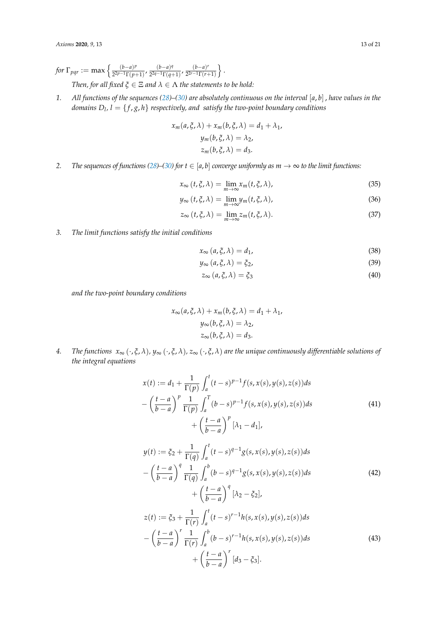*for*  $\Gamma_{pqr}$  := max  $\left\{\frac{(b-a)^p}{2^{2p-1}\Gamma(n-p)}\right\}$  $\frac{(b-a)^p}{2^{2p-1}\Gamma(p+1)}$ ,  $\frac{(b-a)^q}{2^{2q-1}\Gamma(q+1)}$  $\frac{(b-a)^q}{2^{2q-1}\Gamma(q+1)}$ ,  $\frac{(b-a)^r}{2^{2r-1}\Gamma(r-1)}$  $\sqrt{2^{2r-1}\Gamma(r+1)}$  $\}$ . *Then, for all fixed*  $\xi \in \Xi$  *and*  $\lambda \in \Lambda$  *the statements to be hold:* 

*1. All functions of the sequences [\(28\)](#page-10-3)–[\(30\)](#page-11-0) are absolutely continuous on the interval* [*a*, *b*] , *have values in the domains D<sup>l</sup> , l* = { *f* , *g*, *h*} *respectively, and satisfy the two-point boundary conditions*

$$
x_m(a, \xi, \lambda) + x_m(b, \xi, \lambda) = d_1 + \lambda_1,
$$
  

$$
y_m(b, \xi, \lambda) = \lambda_2,
$$
  

$$
z_m(b, \xi, \lambda) = d_3.
$$

2. *The sequences of functions [\(28\)](#page-10-3)*–[\(30\)](#page-11-0) *for*  $t \in [a, b]$  *converge uniformly as*  $m \to \infty$  *to the limit functions:* 

$$
x_{\infty}(t,\xi,\lambda) = \lim_{m \to \infty} x_m(t,\xi,\lambda), \tag{35}
$$

$$
y_{\infty}(t,\xi,\lambda) = \lim_{m \to \infty} y_m(t,\xi,\lambda), \qquad (36)
$$

$$
z_{\infty}(t,\xi,\lambda) = \lim_{m \to \infty} z_m(t,\xi,\lambda). \tag{37}
$$

*3. The limit functions satisfy the initial conditions*

$$
x_{\infty} (a, \xi, \lambda) = d_1,\tag{38}
$$

$$
y_{\infty} (a, \xi, \lambda) = \xi_2, \tag{39}
$$

$$
z_{\infty} (a, \xi, \lambda) = \xi_3 \tag{40}
$$

*and the two-point boundary conditions*

$$
x_{\infty}(a, \xi, \lambda) + x_m(b, \xi, \lambda) = d_1 + \lambda_1,
$$
  

$$
y_{\infty}(b, \xi, \lambda) = \lambda_2,
$$
  

$$
z_{\infty}(b, \xi, \lambda) = d_3.
$$

*4. The functions x*<sup>∞</sup> (·, *ξ*, *λ*)*, y*<sup>∞</sup> (·, *ξ*, *λ*)*, z*<sup>∞</sup> (·, *ξ*, *λ*) *are the unique continuously differentiable solutions of the integral equations*

<span id="page-12-0"></span>
$$
x(t) := d_1 + \frac{1}{\Gamma(p)} \int_a^t (t-s)^{p-1} f(s, x(s), y(s), z(s)) ds - \left(\frac{t-a}{b-a}\right)^p \frac{1}{\Gamma(p)} \int_a^T (b-s)^{p-1} f(s, x(s), y(s), z(s)) ds + \left(\frac{t-a}{b-a}\right)^p [\lambda_1 - d_1],
$$
 (41)

<span id="page-12-1"></span>
$$
y(t) := \xi_2 + \frac{1}{\Gamma(q)} \int_a^t (t-s)^{q-1} g(s, x(s), y(s), z(s)) ds
$$
  
\n
$$
- \left(\frac{t-a}{b-a}\right)^q \frac{1}{\Gamma(q)} \int_a^b (b-s)^{q-1} g(s, x(s), y(s), z(s)) ds
$$
  
\n
$$
+ \left(\frac{t-a}{b-a}\right)^q [\lambda_2 - \xi_2],
$$
  
\n
$$
z(t) := \xi_3 + \frac{1}{\Gamma(r)} \int_a^t (t-s)^{r-1} h(s, x(s), y(s), z(s)) ds
$$
  
\n
$$
- \left(\frac{t-a}{b-a}\right)^r \frac{1}{\Gamma(r)} \int_a^b (b-s)^{r-1} h(s, x(s), y(s), z(s)) ds
$$
  
\n
$$
+ \left(\frac{t-a}{b-a}\right)^r [d_3 - \xi_3].
$$
\n(43)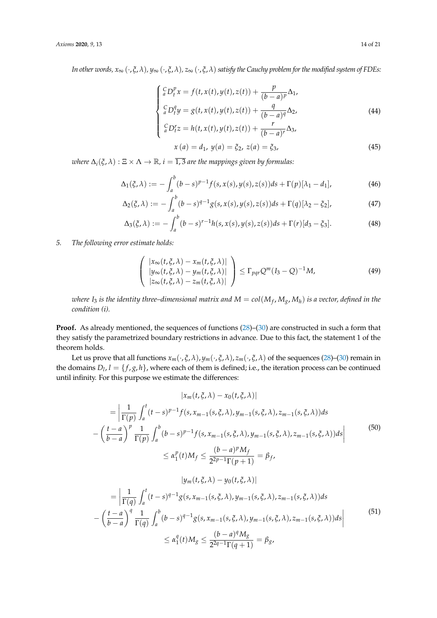*In other words,*  $x_{\infty}(\cdot,\xi,\lambda)$ ,  $y_{\infty}(\cdot,\xi,\lambda)$ ,  $z_{\infty}(\cdot,\xi,\lambda)$  *satisfy the Cauchy problem for the modified system of FDEs:* 

<span id="page-13-5"></span>
$$
\begin{cases} \n\frac{C}{a}D_t^p x = f(t, x(t), y(t), z(t)) + \frac{p}{(b-a)^p} \Delta_1, \\ \n\frac{C}{a}D_t^q y = g(t, x(t), y(t), z(t)) + \frac{q}{(b-a)^q} \Delta_2, \\ \n\frac{C}{a}D_t^r z = h(t, x(t), y(t), z(t)) + \frac{r}{(b-a)^r} \Delta_3, \n\end{cases} \tag{44}
$$

<span id="page-13-4"></span><span id="page-13-3"></span><span id="page-13-2"></span>
$$
{}_{a}^{C}D_{t}^{r}z = h(t, x(t), y(t), z(t)) + \frac{r}{(b-a)^{r}}\Delta_{3},
$$
  

$$
x(a) = d_{1}, y(a) = \xi_{2}, z(a) = \xi_{3},
$$
 (45)

*where*  $\Delta_i(\xi, \lambda) : \Xi \times \Lambda \to \mathbb{R}$ ,  $i = \overline{1, 3}$  *are the mappings given by formulas:* 

$$
\Delta_1(\xi, \lambda) := -\int_a^b (b-s)^{p-1} f(s, x(s), y(s), z(s)) ds + \Gamma(p)[\lambda_1 - d_1],
$$
\n(46)

$$
\Delta_2(\xi,\lambda) := -\int_a^b (b-s)^{q-1} g(s,x(s),y(s),z(s))ds + \Gamma(q)[\lambda_2 - \xi_2],\tag{47}
$$

$$
\Delta_3(\xi,\lambda) := -\int_a^b (b-s)^{r-1} h(s,x(s),y(s),z(s))ds + \Gamma(r)[d_3 - \xi_3].
$$
 (48)

## *5. The following error estimate holds:*

<span id="page-13-1"></span>
$$
\begin{pmatrix}\n|x_{\infty}(t,\xi,\lambda) - x_m(t,\xi,\lambda)| \\
|y_{\infty}(t,\xi,\lambda) - y_m(t,\xi,\lambda)| \\
|z_{\infty}(t,\xi,\lambda) - z_m(t,\xi,\lambda)|\n\end{pmatrix} \leq \Gamma_{pqr} Q^m (I_3 - Q)^{-1} M,\n\tag{49}
$$

*where I*<sup>3</sup> *is the identity three–dimensional matrix and M* = *col*(*M<sup>f</sup>* , *Mg*, *M<sup>h</sup>* ) *is a vector, defined in the condition (i).*

**Proof.** As already mentioned, the sequences of functions [\(28\)](#page-10-3)–[\(30\)](#page-11-0) are constructed in such a form that they satisfy the parametrized boundary restrictions in advance. Due to this fact, the statement 1 of the theorem holds.

Let us prove that all functions  $x_m(\cdot,\xi,\lambda)$ ,  $y_m(\cdot,\xi,\lambda)$ ,  $z_m(\cdot,\xi,\lambda)$  of the sequences [\(28\)](#page-10-3)–[\(30\)](#page-11-0) remain in the domains  $D_l$ ,  $l = \{f, g, h\}$ , where each of them is defined; i.e., the iteration process can be continued until infinity. For this purpose we estimate the differences:

<span id="page-13-0"></span>
$$
|x_{m}(t, \xi, \lambda) - x_{0}(t, \xi, \lambda)|
$$
\n
$$
= \left| \frac{1}{\Gamma(p)} \int_{a}^{t} (t-s)^{p-1} f(s, x_{m-1}(s, \xi, \lambda), y_{m-1}(s, \xi, \lambda), z_{m-1}(s, \xi, \lambda)) ds - \left( \frac{t-a}{b-a} \right)^{p} \frac{1}{\Gamma(p)} \int_{a}^{b} (b-s)^{p-1} f(s, x_{m-1}(s, \xi, \lambda), y_{m-1}(s, \xi, \lambda), z_{m-1}(s, \xi, \lambda)) ds \right|
$$
\n
$$
\leq \alpha_{1}^{p}(t) M_{f} \leq \frac{(b-a)^{p} M_{f}}{2^{2p-1} \Gamma(p+1)} = \beta_{f},
$$
\n
$$
|y_{m}(t, \xi, \lambda) - y_{0}(t, \xi, \lambda)|
$$
\n
$$
= \left| \frac{1}{\Gamma(q)} \int_{a}^{t} (t-s)^{q-1} g(s, x_{m-1}(s, \xi, \lambda), y_{m-1}(s, \xi, \lambda), z_{m-1}(s, \xi, \lambda)) ds \right|
$$
\n
$$
(t-a)^{q} \left| \frac{1}{\Gamma(q)} \int_{a}^{t} (t-s)^{q-1} g(s, x_{m-1}(s, \xi, \lambda), y_{m-1}(s, \xi, \lambda), z_{m-1}(s, \xi, \lambda)) ds \right|
$$
\n(51)

$$
-\left(\frac{t-a}{b-a}\right)^q \frac{1}{\Gamma(q)} \int_a^b (b-s)^{q-1} g(s, x_{m-1}(s, \xi, \lambda), y_{m-1}(s, \xi, \lambda), z_{m-1}(s, \xi, \lambda)) ds
$$
  

$$
\leq \alpha_1^q(t) M_g \leq \frac{(b-a)^q M_g}{2^{2q-1} \Gamma(q+1)} = \beta_g,
$$
 (51)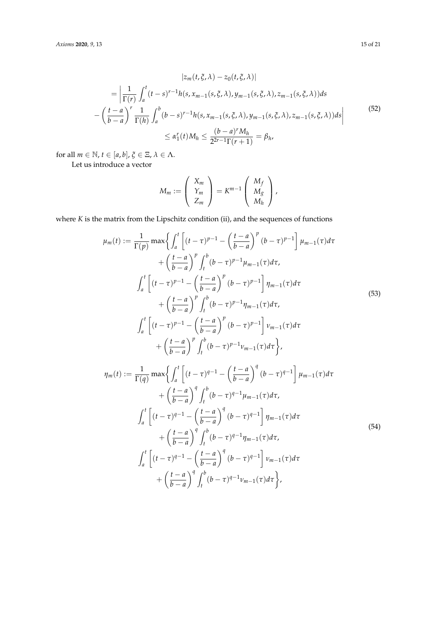<span id="page-14-0"></span>
$$
|z_{m}(t, \xi, \lambda) - z_{0}(t, \xi, \lambda)|
$$
  
\n
$$
= \left| \frac{1}{\Gamma(r)} \int_{a}^{t} (t - s)^{r-1} h(s, x_{m-1}(s, \xi, \lambda), y_{m-1}(s, \xi, \lambda), z_{m-1}(s, \xi, \lambda)) ds - \left( \frac{t - a}{b - a} \right)^{r} \frac{1}{\Gamma(h)} \int_{a}^{b} (b - s)^{r-1} h(s, x_{m-1}(s, \xi, \lambda), y_{m-1}(s, \xi, \lambda), z_{m-1}(s, \xi, \lambda)) ds \right|
$$
  
\n
$$
\leq \alpha_{1}^{r}(t) M_{h} \leq \frac{(b - a)^{r} M_{h}}{2^{2r-1} \Gamma(r + 1)} = \beta_{h},
$$
\n(52)

for all  $m \in \mathbb{N}$ ,  $t \in [a, b]$ ,  $\xi \in \Xi$ ,  $\lambda \in \Lambda$ .

Let us introduce a vector

$$
M_m := \left(\begin{array}{c} X_m \\ Y_m \\ Z_m \end{array}\right) = K^{m-1} \left(\begin{array}{c} M_f \\ M_g \\ M_h \end{array}\right),
$$

where *K* is the matrix from the Lipschitz condition (ii), and the sequences of functions

<span id="page-14-1"></span>
$$
\mu_m(t) := \frac{1}{\Gamma(p)} \max \left\{ \int_a^t \left[ (t-\tau)^{p-1} - \left( \frac{t-a}{b-a} \right)^p (b-\tau)^{p-1} \right] \mu_{m-1}(\tau) d\tau \right. \\ \left. + \left( \frac{t-a}{b-a} \right)^p \int_t^b (b-\tau)^{p-1} \mu_{m-1}(\tau) d\tau, \right. \\ \left. \int_a^t \left[ (t-\tau)^{p-1} - \left( \frac{t-a}{b-a} \right)^p (b-\tau)^{p-1} \right] \eta_{m-1}(\tau) d\tau \right. \\ \left. + \left( \frac{t-a}{b-a} \right)^p \int_t^b (b-\tau)^{p-1} \eta_{m-1}(\tau) d\tau, \right. \\ \left. \int_a^t \left[ (t-\tau)^{p-1} - \left( \frac{t-a}{b-a} \right)^p (b-\tau)^{p-1} \right] \nu_{m-1}(\tau) d\tau \right. \\ \left. + \left( \frac{t-a}{b-a} \right)^p \int_t^b (b-\tau)^{p-1} \nu_{m-1}(\tau) d\tau \right\}, \right. \\ \eta_m(t) := \frac{1}{\Gamma(q)} \max \left\{ \int_a^t \left[ (t-\tau)^{q-1} - \left( \frac{t-a}{b-a} \right)^q (b-\tau)^{q-1} \right] \mu_{m-1}(\tau) d\tau \right. \\ \left. + \left( \frac{t-a}{b-a} \right)^q \int_t^b (b-\tau)^{q-1} \mu_{m-1}(\tau) d\tau, \right. \\ \left. \int_a^t \left[ (t-\tau)^{q-1} - \left( \frac{t-a}{b-a} \right)^q (b-\tau)^{q-1} \right] \eta_{m-1}(\tau) d\tau \right. \\ \left. + \left( \frac{t-a}{b-a} \right)^q \int_t^b (b-\tau)^{q-1} \eta_{m-1}(\tau) d\tau, \right. \\ \left. \int_a^t \left[ (t-\tau)^{q-1} - \left( \frac{t-a}{b-a} \right)^q (b-\tau)^{q-1} \right] \nu_{m-1}(\tau) d\tau \right. \tag{54}
$$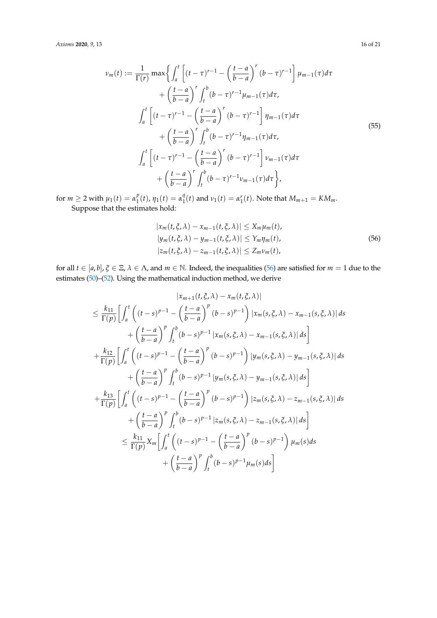<span id="page-15-1"></span>
$$
\nu_{m}(t) := \frac{1}{\Gamma(r)} \max \left\{ \int_{a}^{t} \left[ (t-\tau)^{r-1} - \left( \frac{t-a}{b-a} \right)^{r} (b-\tau)^{r-1} \right] \mu_{m-1}(\tau) d\tau \right. \\ \left. + \left( \frac{t-a}{b-a} \right)^{r} \int_{t}^{b} (b-\tau)^{r-1} \mu_{m-1}(\tau) d\tau, \right. \\ \left. \int_{a}^{t} \left[ (t-\tau)^{r-1} - \left( \frac{t-a}{b-a} \right)^{r} (b-\tau)^{r-1} \right] \eta_{m-1}(\tau) d\tau \right. \\ \left. + \left( \frac{t-a}{b-a} \right)^{r} \int_{t}^{b} (b-\tau)^{r-1} \eta_{m-1}(\tau) d\tau, \right. \\ \left. \int_{a}^{t} \left[ (t-\tau)^{r-1} - \left( \frac{t-a}{b-a} \right)^{r} (b-\tau)^{r-1} \right] \nu_{m-1}(\tau) d\tau \right. \\ \left. + \left( \frac{t-a}{b-a} \right)^{r} \int_{t}^{b} (b-\tau)^{r-1} \nu_{m-1}(\tau) d\tau \right\},
$$

for  $m \ge 2$  with  $\mu_1(t) = \alpha_1^p$  $\int_{1}^{p}(t)$ ,  $\eta_1(t) = \alpha_1^q$  $\int_{1}^{q}(t)$  and  $\nu_{1}(t) = \alpha_{1}^{r}(t)$ . Note that  $M_{m+1} = KM_{m}$ . Suppose that the estimates hold:

<span id="page-15-0"></span>
$$
|x_m(t, \xi, \lambda) - x_{m-1}(t, \xi, \lambda)| \le X_m \mu_m(t),
$$
  
\n
$$
|y_m(t, \xi, \lambda) - y_{m-1}(t, \xi, \lambda)| \le Y_m \eta_m(t),
$$
  
\n
$$
|z_m(t, \xi, \lambda) - z_{m-1}(t, \xi, \lambda)| \le Z_m \nu_m(t),
$$
\n(56)

for all  $t \in [a, b]$ ,  $\xi \in \Xi$ ,  $\lambda \in \Lambda$ , and  $m \in \mathbb{N}$ . Indeed, the inequalities [\(56\)](#page-15-0) are satisfied for  $m = 1$  due to the estimates [\(50\)](#page-13-0)–[\(52\)](#page-14-0). Using the mathematical induction method, we derive

$$
|x_{m+1}(t,\xi,\lambda)-x_m(t,\xi,\lambda)|
$$
  
\n
$$
\leq \frac{k_{11}}{\Gamma(p)} \Biggl[ \int_a^t \left( (t-s)^{p-1} - \left( \frac{t-a}{b-a} \right)^p (b-s)^{p-1} \right) |x_m(s,\xi,\lambda)-x_{m-1}(s,\xi,\lambda)| ds
$$
  
\n
$$
+ \left( \frac{t-a}{b-a} \right)^p \int_t^b (b-s)^{p-1} |x_m(s,\xi,\lambda)-x_{m-1}(s,\xi,\lambda)| ds \Biggr]
$$
  
\n
$$
+ \frac{k_{12}}{\Gamma(p)} \Biggl[ \int_a^t \left( (t-s)^{p-1} - \left( \frac{t-a}{b-a} \right)^p (b-s)^{p-1} \right) |y_m(s,\xi,\lambda)-y_{m-1}(s,\xi,\lambda)| ds
$$
  
\n
$$
+ \left( \frac{t-a}{b-a} \right)^p \int_t^b (b-s)^{p-1} |y_m(s,\xi,\lambda)-y_{m-1}(s,\xi,\lambda)| ds \Biggr]
$$
  
\n
$$
+ \frac{k_{13}}{\Gamma(p)} \Biggl[ \int_a^t \left( (t-s)^{p-1} - \left( \frac{t-a}{b-a} \right)^p (b-s)^{p-1} \right) |z_m(s,\xi,\lambda)-z_{m-1}(s,\xi,\lambda)| ds
$$
  
\n
$$
+ \left( \frac{t-a}{b-a} \right)^p \int_t^b (b-s)^{p-1} |z_m(s,\xi,\lambda)-z_{m-1}(s,\xi,\lambda)| ds \Biggr]
$$
  
\n
$$
\leq \frac{k_{11}}{\Gamma(p)} X_m \Biggl[ \int_a^t \left( (t-s)^{p-1} - \left( \frac{t-a}{b-a} \right)^p (b-s)^{p-1} \right) \mu_m(s) ds
$$
  
\n
$$
+ \left( \frac{t-a}{b-a} \right)^p \int_t^b (b-s)^{p-1} \mu_m(s) ds \Biggr]
$$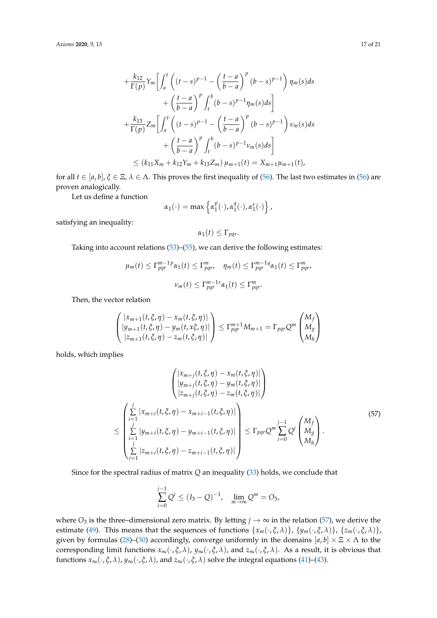$$
+\frac{k_{12}}{\Gamma(p)}Y_{m}\left[\int_{a}^{t}\left((t-s)^{p-1}-\left(\frac{t-a}{b-a}\right)^{p}(b-s)^{p-1}\right)\eta_{m}(s)ds\right.+\left(\frac{t-a}{b-a}\right)^{p}\int_{t}^{b}(b-s)^{p-1}\eta_{m}(s)ds\right]+\frac{k_{13}}{\Gamma(p)}Z_{m}\left[\int_{a}^{t}\left((t-s)^{p-1}-\left(\frac{t-a}{b-a}\right)^{p}(b-s)^{p-1}\right)\nu_{m}(s)ds\right.+\left(\frac{t-a}{b-a}\right)^{p}\int_{t}^{b}(b-s)^{p-1}\nu_{m}(s)ds\right]\leq (k_{11}X_{m}+k_{12}Y_{m}+k_{13}Z_{m})\mu_{m+1}(t)=X_{m+1}\mu_{m+1}(t),
$$

for all  $t \in [a, b]$ ,  $\xi \in \Xi$ ,  $\lambda \in \Lambda$ . This proves the first inequality of [\(56\)](#page-15-0). The last two estimates in (56) are proven analogically.

Let us define a function

$$
\alpha_1(\cdot) = \max \left\{ \alpha_1^p(\cdot), \alpha_1^q(\cdot), \alpha_1^r(\cdot) \right\},\,
$$

satisfying an inequality:

$$
\alpha_1(t) \leq \Gamma_{pqr}.
$$

Taking into account relations [\(53\)](#page-14-1)–[\(55\)](#page-15-1), we can derive the following estimates:

$$
\mu_m(t) \le \Gamma_{pqr}^{m-1} \nu_{\alpha_1}(t) \le \Gamma_{pqr}^m, \quad \eta_m(t) \le \Gamma_{pqr}^{m-1} \nu_{\alpha_1}(t) \le \Gamma_{pqr}^m,
$$

$$
\nu_m(t) \le \Gamma_{pqr}^{m-1} \nu_{\alpha_1}(t) \le \Gamma_{pqr}^m.
$$

Then, the vector relation

$$
\begin{pmatrix} |x_{m+1}(t,\xi,\eta)-x_m(t,\xi,\eta)| \\ |y_{m+1}(t,\xi,\eta)-y_m(t,x\xi,\eta)| \\ |z_{m+1}(t,\xi,\eta)-z_m(t,\xi,\eta)| \end{pmatrix} \leq \Gamma_{pqr}^{m+1} M_{m+1} = \Gamma_{pqr} Q^m \begin{pmatrix} M_f \\ M_g \\ M_h \end{pmatrix}
$$

holds, which implies

<span id="page-16-0"></span>
$$
\begin{pmatrix}\n|x_{m+j}(t, \xi, \eta) - x_m(t, \xi, \eta)| \\
|y_{m+j}(t, \xi, \eta) - y_m(t, \xi, \eta)| \\
|z_{m+j}(t, \xi, \eta) - z_m(t, \xi, \eta)|\n\end{pmatrix}
$$
\n
$$
\leq \begin{pmatrix}\n\frac{j}{2} |x_{m+j}(t, \xi, \eta) - x_{m+i-1}(t, \xi, \eta)| \\
\frac{j}{2} |y_{m+j}(t, \xi, \eta) - y_{m+i-1}(t, \xi, \eta)| \\
\frac{j}{2} |z_{m+j}(t, \xi, \eta) - y_{m+i-1}(t, \xi, \eta)|\n\end{pmatrix} \leq \Gamma_{pqr} Q^m \sum_{i=0}^{j-1} Q^i \begin{pmatrix} M_f \\ M_g \\ M_h \end{pmatrix}.
$$
\n(57)

Since for the spectral radius of matrix *Q* an inequality [\(33\)](#page-11-1) holds, we conclude that

$$
\sum_{i=0}^{j-1} Q^i \le (I_3 - Q)^{-1}, \quad \lim_{m \to \infty} Q^m = O_3,
$$

where  $O_3$  is the three–dimensional zero matrix. By letting  $j \to \infty$  in the relation [\(57\)](#page-16-0), we derive the estimate [\(49\)](#page-13-1). This means that the sequences of functions  $\{x_m(\cdot,\xi,\lambda)\}\$ ,  $\{y_m(\cdot,\xi,\lambda)\}\$ ,  $\{z_m(\cdot,\xi,\lambda)\}\$ given by formulas [\(28\)](#page-10-3)–[\(30\)](#page-11-0) accordingly, converge uniformly in the domains  $[a, b] \times \Xi \times \Lambda$  to the corresponding limit functions  $x_{\infty}(\cdot,\xi,\lambda)$ ,  $y_{\infty}(\cdot,\xi,\lambda)$ , and  $z_{\infty}(\cdot,\xi,\lambda)$ . As a result, it is obvious that functions  $x_{\infty}(\cdot, \xi, \lambda)$ ,  $y_{\infty}(\cdot, \xi, \lambda)$ , and  $z_{\infty}(\cdot, \xi, \lambda)$  solve the integral equations [\(41\)](#page-12-0)–[\(43\)](#page-12-1).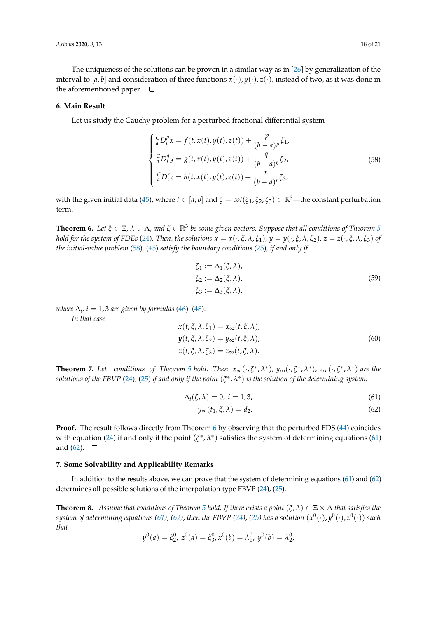The uniqueness of the solutions can be proven in a similar way as in [\[26\]](#page-20-6) by generalization of the interval to [ $a$ ,  $b$ ] and consideration of three functions  $x(\cdot)$ ,  $y(\cdot)$ ,  $z(\cdot)$ , instead of two, as it was done in the aforementioned paper.  $\square$ 

#### **6. Main Result**

Let us study the Cauchy problem for a perturbed fractional differential system

<span id="page-17-1"></span>
$$
\begin{cases} \n\frac{C}{a}D_t^p x = f(t, x(t), y(t), z(t)) + \frac{p}{(b-a)^p} \zeta_1, \\ \n\frac{C}{a}D_t^q y = g(t, x(t), y(t), z(t)) + \frac{q}{(b-a)^q} \zeta_2, \\ \n\frac{C}{a}D_t^r z = h(t, x(t), y(t), z(t)) + \frac{r}{(b-a)^r} \zeta_3, \n\end{cases}
$$
\n(58)

with the given initial data [\(45\)](#page-13-2), where  $t \in [a, b]$  and  $\zeta = col(\zeta_1, \zeta_2, \zeta_3) \in \mathbb{R}^3$ —the constant perturbation term.

<span id="page-17-2"></span>**Theorem 6.** Let  $\xi \in \Xi$ ,  $\lambda \in \Lambda$ , and  $\zeta \in \mathbb{R}^3$  be some given vectors. Suppose that all conditions of Theorem [5](#page-11-2) hold for the system of FDEs [\(24\)](#page-9-3). Then, the solutions  $x = x(\cdot,\xi,\lambda,\zeta_1)$ ,  $y = y(\cdot,\xi,\lambda,\zeta_2)$ ,  $z = z(\cdot,\xi,\lambda,\zeta_3)$  of *the initial-value problem* [\(58\)](#page-17-1)*,* [\(45\)](#page-13-2) *satisfy the boundary conditions* [\(25\)](#page-10-0)*, if and only if*

$$
\zeta_1 := \Delta_1(\xi, \lambda), \n\zeta_2 := \Delta_2(\xi, \lambda), \n\zeta_3 := \Delta_3(\xi, \lambda),
$$
\n(59)

*where*  $\Delta_i$ ,  $i = \overline{1,3}$  are given by formulas [\(46\)](#page-13-3)–[\(48\)](#page-13-4). *In that case*

<span id="page-17-5"></span>
$$
x(t, \xi, \lambda, \zeta_1) = x_{\infty}(t, \xi, \lambda),
$$
  
\n
$$
y(t, \xi, \lambda, \zeta_2) = y_{\infty}(t, \xi, \lambda),
$$
  
\n
$$
z(t, \xi, \lambda, \zeta_3) = z_{\infty}(t, \xi, \lambda).
$$
\n(60)

**Theorem 7.** Let conditions of Theorem [5](#page-11-2) hold. Then  $x_{\infty}(\cdot,\xi^*,\lambda^*)$ ,  $y_{\infty}(\cdot,\xi^*,\lambda^*)$ ,  $z_{\infty}(\cdot,\xi^*,\lambda^*)$  are the solutions of the FBVP [\(24\)](#page-9-3), [\(25\)](#page-10-0) if and only if the point  $(\xi^*,\lambda^*)$  is the solution of the determining system:

$$
\Delta_i(\xi,\lambda) = 0, \ i = \overline{1,3}, \tag{61}
$$

<span id="page-17-4"></span><span id="page-17-3"></span>
$$
y_{\infty}(t_1, \xi, \lambda) = d_2. \tag{62}
$$

**Proof.** The result follows directly from Theorem [6](#page-17-2) by observing that the perturbed FDS [\(44\)](#page-13-5) coincides with equation [\(24\)](#page-9-3) if and only if the point  $(\xi^*, \lambda^*)$  satisfies the system of determining equations [\(61\)](#page-17-3) and  $(62)$ .  $\Box$ 

## <span id="page-17-0"></span>**7. Some Solvability and Applicability Remarks**

In addition to the results above, we can prove that the system of determining equations [\(61\)](#page-17-3) and [\(62\)](#page-17-4) determines all possible solutions of the interpolation type FBVP [\(24\)](#page-9-3), [\(25\)](#page-10-0).

**Theorem 8.** *Assume that conditions of Theorem [5](#page-11-2) hold. If there exists a point*  $(\xi, \lambda) \in \Xi \times \Lambda$  *that satisfies the*  $s$ ystem of determining equations [\(61\)](#page-17-3), [\(62\)](#page-17-4), then the FBVP [\(24\)](#page-9-3), [\(25\)](#page-10-0) has a solution  $(x^0(\cdot),y^0(\cdot),z^0(\cdot))$  such *that*

$$
y^{0}(a) = \xi_{2}^{0}, z^{0}(a) = \xi_{3}^{0}, x^{0}(b) = \lambda_{1}^{0}, y^{0}(b) = \lambda_{2}^{0},
$$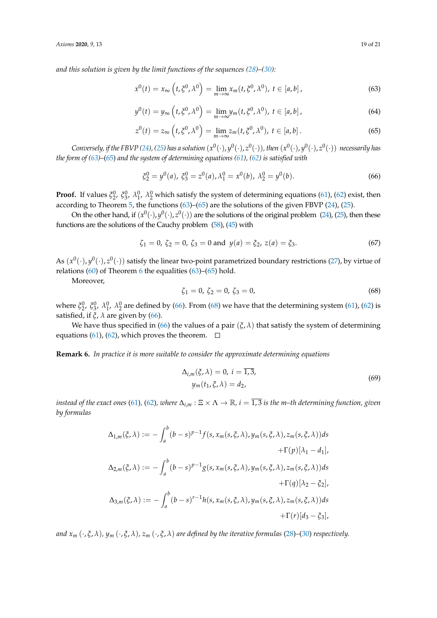*and this solution is given by the limit functions of the sequences [\(28\)](#page-10-3)–[\(30\)](#page-11-0):*

<span id="page-18-0"></span>
$$
x^{0}(t) = x_{\infty} \left( t, \xi^{0}, \lambda^{0} \right) = \lim_{m \to \infty} x_{m}(t, \xi^{0}, \lambda^{0}), \ t \in [a, b], \qquad (63)
$$

$$
y^{0}(t) = y_{\infty}\left(t, \xi^{0}, \lambda^{0}\right) = \lim_{m \to \infty} y_{m}\left(t, \xi^{0}, \lambda^{0}\right), \ t \in [a, b]\,,\tag{64}
$$

<span id="page-18-1"></span>
$$
z^{0}(t) = z_{\infty}\left(t, \xi^{0}, \lambda^{0}\right) = \lim_{m \to \infty} z_{m}(t, \xi^{0}, \lambda^{0}), \ t \in [a, b]. \tag{65}
$$

Conversely, if the FBVP [\(24\)](#page-9-3), [\(25\)](#page-10-0) has a solution  $(x^0(\cdot),y^0(\cdot),z^0(\cdot))$ , then  $(x^0(\cdot),y^0(\cdot),z^0(\cdot))$  necessarily has *the form of [\(63\)](#page-18-0)–*[\(65\)](#page-18-1) *and the system of determining equations [\(61\)](#page-17-3), [\(62\)](#page-17-4) is satisfied with*

<span id="page-18-2"></span>
$$
\xi_2^0 = y^0(a), \xi_3^0 = z^0(a), \lambda_1^0 = x^0(b), \lambda_2^0 = y^0(b).
$$
 (66)

**Proof.** If values  $\xi_2^0$ ,  $\xi_3^0$ ,  $\lambda_1^0$ ,  $\lambda_2^0$  which satisfy the system of determining equations [\(61\)](#page-17-3), [\(62\)](#page-17-4) exist, then according to Theorem [5,](#page-11-2) the functions [\(63\)](#page-18-0)–[\(65\)](#page-18-1) are the solutions of the given FBVP [\(24\)](#page-9-3), [\(25\)](#page-10-0).

On the other hand, if  $(x^0(\cdot), y^0(\cdot), z^0(\cdot))$  are the solutions of the original problem [\(24\)](#page-9-3), [\(25\)](#page-10-0), then these functions are the solutions of the Cauchy problem [\(58\)](#page-17-1), [\(45\)](#page-13-2) with

$$
\zeta_1 = 0, \, \zeta_2 = 0, \, \zeta_3 = 0 \text{ and } \, y(a) = \zeta_2, \, z(a) = \zeta_3. \tag{67}
$$

As  $(x^0(\cdot), y^0(\cdot), z^0(\cdot))$  satisfy the linear two-point parametrized boundary restrictions [\(27\)](#page-10-1), by virtue of relations  $(60)$  of Theorem [6](#page-17-2) the equalities  $(63)$ – $(65)$  hold.

Moreover,

<span id="page-18-3"></span>
$$
\zeta_1 = 0, \ \zeta_2 = 0, \ \zeta_3 = 0,\tag{68}
$$

where  $\xi_2^0$ ,  $\xi_3^0$ ,  $\lambda_1^0$ ,  $\lambda_2^0$  are defined by [\(66\)](#page-18-2). From [\(68\)](#page-18-3) we have that the determining system [\(61\)](#page-17-3), [\(62\)](#page-17-4) is satisfied, if  $\xi$ ,  $\lambda$  are given by [\(66\)](#page-18-2).

We have thus specified in [\(66\)](#page-18-2) the values of a pair  $(\xi, \lambda)$  that satisfy the system of determining equations [\(61\)](#page-17-3), [\(62\)](#page-17-4), which proves the theorem.  $\Box$ 

**Remark 6.** *In practice it is more suitable to consider the approximate determining equations*

$$
\Delta_{i,m}(\xi,\lambda) = 0, \ i = 1,3,
$$
  
\n
$$
y_m(t_1,\xi,\lambda) = d_2,
$$
\n(69)

*instead of the exact ones* [\(61\)](#page-17-3), [\(62\)](#page-17-4), where  $\Delta_{i,m} : \Xi \times \Lambda \to \mathbb{R}$ ,  $i = \overline{1,3}$  is the m–th determining function, given *by formulas*

$$
\Delta_{1,m}(\xi,\lambda) := -\int_a^b (b-s)^{p-1} f(s, x_m(s,\xi,\lambda), y_m(s,\xi,\lambda), z_m(s,\xi,\lambda)) ds
$$
  
+  $\Gamma(p)[\lambda_1 - d_1],$   

$$
\Delta_{2,m}(\xi,\lambda) := -\int_a^b (b-s)^{p-1} g(s, x_m(s,\xi,\lambda), y_m(s,\xi,\lambda), z_m(s,\xi,\lambda)) ds
$$
  
+  $\Gamma(q)[\lambda_2 - \xi_2],$   

$$
\Delta_{3,m}(\xi,\lambda) := -\int_a^b (b-s)^{r-1} h(s, x_m(s,\xi,\lambda), y_m(s,\xi,\lambda), z_m(s,\xi,\lambda)) ds
$$
  
+  $\Gamma(r)[d_3 - \xi_3],$ 

*and*  $x_m$  ( $\cdot$ ,  $\xi$ ,  $\lambda$ ),  $y_m$  ( $\cdot$ ,  $\xi$ ,  $\lambda$ ),  $z_m$  ( $\cdot$ ,  $\xi$ ,  $\lambda$ ) are defined by the iterative formulas [\(28\)](#page-10-3)–[\(30\)](#page-11-0) respectively.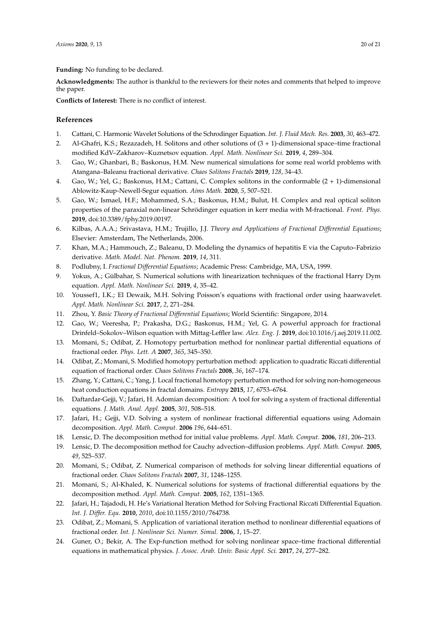**Funding:** No funding to be declared.

**Acknowledgments:** The author is thankful to the reviewers for their notes and comments that helped to improve the paper.

**Conflicts of Interest:** There is no conflict of interest.

## **References**

- <span id="page-19-0"></span>1. Cattani, C. Harmonic Wavelet Solutions of the Schrodinger Equation. *Int. J. Fluid Mech. Res.* **2003**, *30*, 463–472.
- 2. Al-Ghafri, K.S.; Rezazadeh, H. Solitons and other solutions of (3 + 1)-dimensional space–time fractional modified KdV–Zakharov–Kuznetsov equation. *Appl. Math. Nonlinear Sci.* **2019**, *4*, 289–304.
- 3. Gao, W.; Ghanbari, B.; Baskonus, H.M. New numerical simulations for some real world problems with Atangana–Baleanu fractional derivative. *Chaos Solitons Fractals* **2019**, *128*, 34–43.
- 4. Gao, W.; Yel, G.; Baskonus, H.M.; Cattani, C. Complex solitons in the conformable (2 + 1)-dimensional Ablowitz-Kaup-Newell-Segur equation. *Aims Math.* **2020**, *5*, 507–521.
- 5. Gao, W.; Ismael, H.F.; Mohammed, S.A.; Baskonus, H.M.; Bulut, H. Complex and real optical soliton properties of the paraxial non-linear Schrödinger equation in kerr media with M-fractional. *Front. Phys.* **2019**, doi:10.3389/fphy.2019.00197.
- 6. Kilbas, A.A.A.; Srivastava, H.M.; Trujillo, J.J. *Theory and Applications of Fractional Differential Equations*; Elsevier: Amsterdam, The Netherlands, 2006.
- 7. Khan, M.A.; Hammouch, Z.; Baleanu, D. Modeling the dynamics of hepatitis E via the Caputo–Fabrizio derivative. *Math. Model. Nat. Phenom.* **2019**, *14*, 311.
- <span id="page-19-10"></span>8. Podlubny, I. *Fractional Differential Equations*; Academic Press: Cambridge, MA, USA, 1999.
- 9. Yokus, A.; Gülbahar, S. Numerical solutions with linearization techniques of the fractional Harry Dym equation. *Appl. Math. Nonlinear Sci.* **2019**, *4*, 35–42.
- 10. Youssef1, I.K.; El Dewaik, M.H. Solving Poisson's equations with fractional order using haarwavelet. *Appl. Math. Nonlinear Sci.* **2017**, *2*, 271–284.
- <span id="page-19-1"></span>11. Zhou, Y. *Basic Theory of Fractional Differential Equations*; World Scientific: Singapore, 2014.
- <span id="page-19-2"></span>12. Gao, W.; Veeresha, P.; Prakasha, D.G.; Baskonus, H.M.; Yel, G. A powerful approach for fractional Drinfeld–Sokolov–Wilson equation with Mittag-Leffler law. *Alex. Eng. J.* **2019**, doi:10.1016/j.aej.2019.11.002.
- 13. Momani, S.; Odibat, Z. Homotopy perturbation method for nonlinear partial differential equations of fractional order. *Phys. Lett. A* **2007**, *365*, 345–350.
- 14. Odibat, Z.; Momani, S. Modified homotopy perturbation method: application to quadratic Riccati differential equation of fractional order. *Chaos Solitons Fractals* **2008**, *36*, 167–174.
- <span id="page-19-3"></span>15. Zhang, Y.; Cattani, C.; Yang, J. Local fractional homotopy perturbation method for solving non-homogeneous heat conduction equations in fractal domains. *Entropy* **2015**, *17*, 6753–6764.
- <span id="page-19-4"></span>16. Daftardar-Gejji, V.; Jafari, H. Adomian decomposition: A tool for solving a system of fractional differential equations. *J. Math. Anal. Appl.* **2005**, *301*, 508–518.
- 17. Jafari, H.; Gejji, V.D. Solving a system of nonlinear fractional differential equations using Adomain decomposition. *Appl. Math. Comput.* **2006** *196*, 644–651.
- 18. Lensic, D. The decomposition method for initial value problems. *Appl. Math. Comput.* **2006**, *181*, 206–213.
- 19. Lensic, D. The decomposition method for Cauchy advection–diffusion problems. *Appl. Math. Comput.* **2005**, *49*, 525–537.
- <span id="page-19-6"></span>20. Momani, S.; Odibat, Z. Numerical comparison of methods for solving linear differential equations of fractional order. *Chaos Solitons Fractals* **2007**, *31*, 1248–1255.
- <span id="page-19-5"></span>21. Momani, S.; Al-Khaled, K. Numerical solutions for systems of fractional differential equations by the decomposition method. *Appl. Math. Comput.* **2005**, *162*, 1351–1365.
- <span id="page-19-7"></span>22. Jafari, H.; Tajadodi, H. He's Variational Iteration Method for Solving Fractional Riccati Differential Equation. *Int. J. Differ. Equ.* **2010**, *2010*, doi:10.1155/2010/764738.
- <span id="page-19-8"></span>23. Odibat, Z.; Momani, S. Application of variational iteration method to nonlinear differential equations of fractional order. *Int. J. Nonlinear Sci. Numer. Simul.* **2006**, *1*, 15–27.
- <span id="page-19-9"></span>24. Guner, O.; Bekir, A. The Exp-function method for solving nonlinear space–time fractional differential equations in mathematical physics. *J. Assoc. Arab. Univ. Basic Appl. Sci.* **2017**, *24*, 277–282.